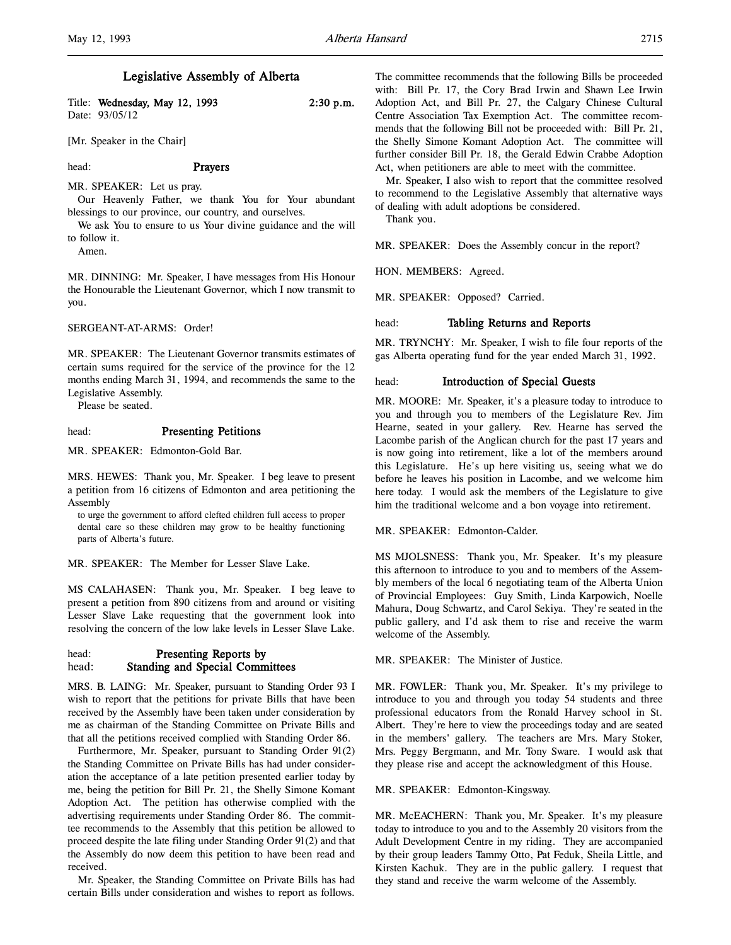## Legislative Assembly of Alberta

Title: Wednesday, May 12, 1993 2:30 p.m. Date: 93/05/12

[Mr. Speaker in the Chair]

# head: Prayers

MR. SPEAKER: Let us pray. Our Heavenly Father, we thank You for Your abundant blessings to our province, our country, and ourselves.

We ask You to ensure to us Your divine guidance and the will to follow it.

Amen.

MR. DINNING: Mr. Speaker, I have messages from His Honour the Honourable the Lieutenant Governor, which I now transmit to you.

SERGEANT-AT-ARMS: Order!

MR. SPEAKER: The Lieutenant Governor transmits estimates of certain sums required for the service of the province for the 12 months ending March 31, 1994, and recommends the same to the Legislative Assembly.

Please be seated.

# head: Presenting Petitions

MR. SPEAKER: Edmonton-Gold Bar.

MRS. HEWES: Thank you, Mr. Speaker. I beg leave to present a petition from 16 citizens of Edmonton and area petitioning the Assembly

to urge the government to afford clefted children full access to proper dental care so these children may grow to be healthy functioning parts of Alberta's future.

MR. SPEAKER: The Member for Lesser Slave Lake.

MS CALAHASEN: Thank you, Mr. Speaker. I beg leave to present a petition from 890 citizens from and around or visiting Lesser Slave Lake requesting that the government look into resolving the concern of the low lake levels in Lesser Slave Lake.

## head: Presenting Reports by head: Standing and Special Committees

MRS. B. LAING: Mr. Speaker, pursuant to Standing Order 93 I wish to report that the petitions for private Bills that have been received by the Assembly have been taken under consideration by me as chairman of the Standing Committee on Private Bills and that all the petitions received complied with Standing Order 86.

Furthermore, Mr. Speaker, pursuant to Standing Order 91(2) the Standing Committee on Private Bills has had under consideration the acceptance of a late petition presented earlier today by me, being the petition for Bill Pr. 21, the Shelly Simone Komant Adoption Act. The petition has otherwise complied with the advertising requirements under Standing Order 86. The committee recommends to the Assembly that this petition be allowed to proceed despite the late filing under Standing Order 91(2) and that the Assembly do now deem this petition to have been read and received.

Mr. Speaker, the Standing Committee on Private Bills has had certain Bills under consideration and wishes to report as follows. The committee recommends that the following Bills be proceeded with: Bill Pr. 17, the Cory Brad Irwin and Shawn Lee Irwin Adoption Act, and Bill Pr. 27, the Calgary Chinese Cultural Centre Association Tax Exemption Act. The committee recommends that the following Bill not be proceeded with: Bill Pr. 21, the Shelly Simone Komant Adoption Act. The committee will further consider Bill Pr. 18, the Gerald Edwin Crabbe Adoption Act, when petitioners are able to meet with the committee.

Mr. Speaker, I also wish to report that the committee resolved to recommend to the Legislative Assembly that alternative ways of dealing with adult adoptions be considered.

Thank you.

MR. SPEAKER: Does the Assembly concur in the report?

HON. MEMBERS: Agreed.

MR. SPEAKER: Opposed? Carried.

### head: Tabling Returns and Reports

MR. TRYNCHY: Mr. Speaker, I wish to file four reports of the gas Alberta operating fund for the year ended March 31, 1992.

### head: Introduction of Special Guests

MR. MOORE: Mr. Speaker, it's a pleasure today to introduce to you and through you to members of the Legislature Rev. Jim Hearne, seated in your gallery. Rev. Hearne has served the Lacombe parish of the Anglican church for the past 17 years and is now going into retirement, like a lot of the members around this Legislature. He's up here visiting us, seeing what we do before he leaves his position in Lacombe, and we welcome him here today. I would ask the members of the Legislature to give him the traditional welcome and a bon voyage into retirement.

MR. SPEAKER: Edmonton-Calder.

MS MJOLSNESS: Thank you, Mr. Speaker. It's my pleasure this afternoon to introduce to you and to members of the Assembly members of the local 6 negotiating team of the Alberta Union of Provincial Employees: Guy Smith, Linda Karpowich, Noelle Mahura, Doug Schwartz, and Carol Sekiya. They're seated in the public gallery, and I'd ask them to rise and receive the warm welcome of the Assembly.

MR. SPEAKER: The Minister of Justice.

MR. FOWLER: Thank you, Mr. Speaker. It's my privilege to introduce to you and through you today 54 students and three professional educators from the Ronald Harvey school in St. Albert. They're here to view the proceedings today and are seated in the members' gallery. The teachers are Mrs. Mary Stoker, Mrs. Peggy Bergmann, and Mr. Tony Sware. I would ask that they please rise and accept the acknowledgment of this House.

### MR. SPEAKER: Edmonton-Kingsway.

MR. McEACHERN: Thank you, Mr. Speaker. It's my pleasure today to introduce to you and to the Assembly 20 visitors from the Adult Development Centre in my riding. They are accompanied by their group leaders Tammy Otto, Pat Feduk, Sheila Little, and Kirsten Kachuk. They are in the public gallery. I request that they stand and receive the warm welcome of the Assembly.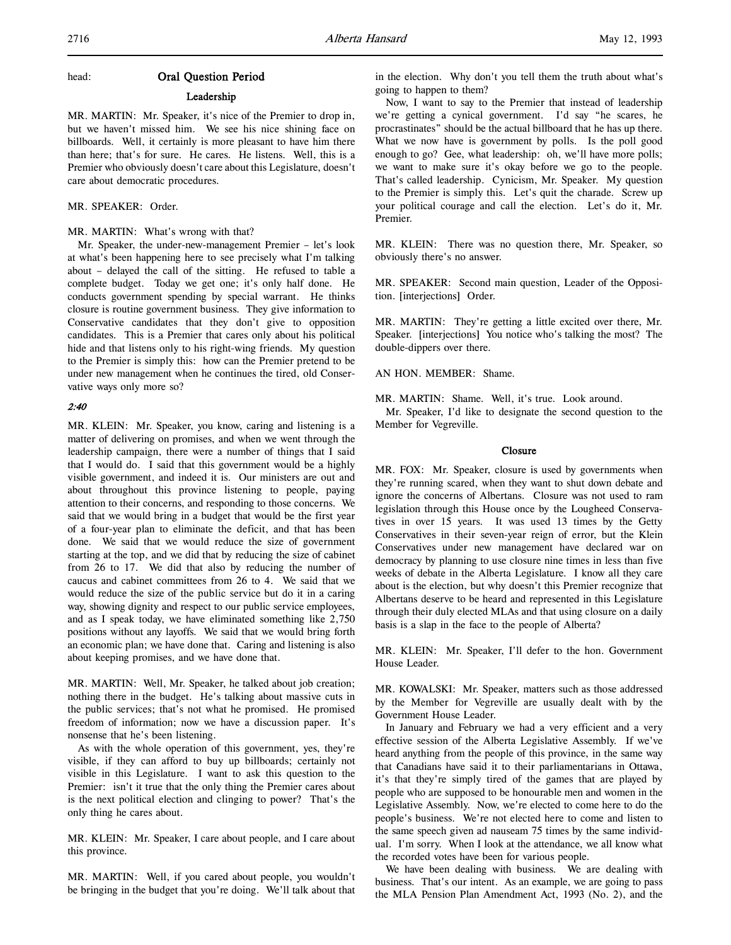## head: Oral Question Period

### Leadership

MR. MARTIN: Mr. Speaker, it's nice of the Premier to drop in, but we haven't missed him. We see his nice shining face on billboards. Well, it certainly is more pleasant to have him there than here; that's for sure. He cares. He listens. Well, this is a Premier who obviously doesn't care about this Legislature, doesn't care about democratic procedures.

## MR. SPEAKER: Order.

# MR. MARTIN: What's wrong with that?

Mr. Speaker, the under-new-management Premier – let's look at what's been happening here to see precisely what I'm talking about – delayed the call of the sitting. He refused to table a complete budget. Today we get one; it's only half done. He conducts government spending by special warrant. He thinks closure is routine government business. They give information to Conservative candidates that they don't give to opposition candidates. This is a Premier that cares only about his political hide and that listens only to his right-wing friends. My question to the Premier is simply this: how can the Premier pretend to be under new management when he continues the tired, old Conservative ways only more so?

### 2:40

MR. KLEIN: Mr. Speaker, you know, caring and listening is a matter of delivering on promises, and when we went through the leadership campaign, there were a number of things that I said that I would do. I said that this government would be a highly visible government, and indeed it is. Our ministers are out and about throughout this province listening to people, paying attention to their concerns, and responding to those concerns. We said that we would bring in a budget that would be the first year of a four-year plan to eliminate the deficit, and that has been done. We said that we would reduce the size of government starting at the top, and we did that by reducing the size of cabinet from 26 to 17. We did that also by reducing the number of caucus and cabinet committees from 26 to 4. We said that we would reduce the size of the public service but do it in a caring way, showing dignity and respect to our public service employees, and as I speak today, we have eliminated something like 2,750 positions without any layoffs. We said that we would bring forth an economic plan; we have done that. Caring and listening is also about keeping promises, and we have done that.

MR. MARTIN: Well, Mr. Speaker, he talked about job creation; nothing there in the budget. He's talking about massive cuts in the public services; that's not what he promised. He promised freedom of information; now we have a discussion paper. It's nonsense that he's been listening.

As with the whole operation of this government, yes, they're visible, if they can afford to buy up billboards; certainly not visible in this Legislature. I want to ask this question to the Premier: isn't it true that the only thing the Premier cares about is the next political election and clinging to power? That's the only thing he cares about.

MR. KLEIN: Mr. Speaker, I care about people, and I care about this province.

MR. MARTIN: Well, if you cared about people, you wouldn't be bringing in the budget that you're doing. We'll talk about that in the election. Why don't you tell them the truth about what's going to happen to them?

Now, I want to say to the Premier that instead of leadership we're getting a cynical government. I'd say "he scares, he procrastinates" should be the actual billboard that he has up there. What we now have is government by polls. Is the poll good enough to go? Gee, what leadership: oh, we'll have more polls; we want to make sure it's okay before we go to the people. That's called leadership. Cynicism, Mr. Speaker. My question to the Premier is simply this. Let's quit the charade. Screw up your political courage and call the election. Let's do it, Mr. Premier.

MR. KLEIN: There was no question there, Mr. Speaker, so obviously there's no answer.

MR. SPEAKER: Second main question, Leader of the Opposition. [interjections] Order.

MR. MARTIN: They're getting a little excited over there, Mr. Speaker. [interjections] You notice who's talking the most? The double-dippers over there.

AN HON. MEMBER: Shame.

MR. MARTIN: Shame. Well, it's true. Look around.

Mr. Speaker, I'd like to designate the second question to the Member for Vegreville.

## Closure

MR. FOX: Mr. Speaker, closure is used by governments when they're running scared, when they want to shut down debate and ignore the concerns of Albertans. Closure was not used to ram legislation through this House once by the Lougheed Conservatives in over 15 years. It was used 13 times by the Getty Conservatives in their seven-year reign of error, but the Klein Conservatives under new management have declared war on democracy by planning to use closure nine times in less than five weeks of debate in the Alberta Legislature. I know all they care about is the election, but why doesn't this Premier recognize that Albertans deserve to be heard and represented in this Legislature through their duly elected MLAs and that using closure on a daily basis is a slap in the face to the people of Alberta?

MR. KLEIN: Mr. Speaker, I'll defer to the hon. Government House Leader.

MR. KOWALSKI: Mr. Speaker, matters such as those addressed by the Member for Vegreville are usually dealt with by the Government House Leader.

In January and February we had a very efficient and a very effective session of the Alberta Legislative Assembly. If we've heard anything from the people of this province, in the same way that Canadians have said it to their parliamentarians in Ottawa, it's that they're simply tired of the games that are played by people who are supposed to be honourable men and women in the Legislative Assembly. Now, we're elected to come here to do the people's business. We're not elected here to come and listen to the same speech given ad nauseam 75 times by the same individual. I'm sorry. When I look at the attendance, we all know what the recorded votes have been for various people.

We have been dealing with business. We are dealing with business. That's our intent. As an example, we are going to pass the MLA Pension Plan Amendment Act, 1993 (No. 2), and the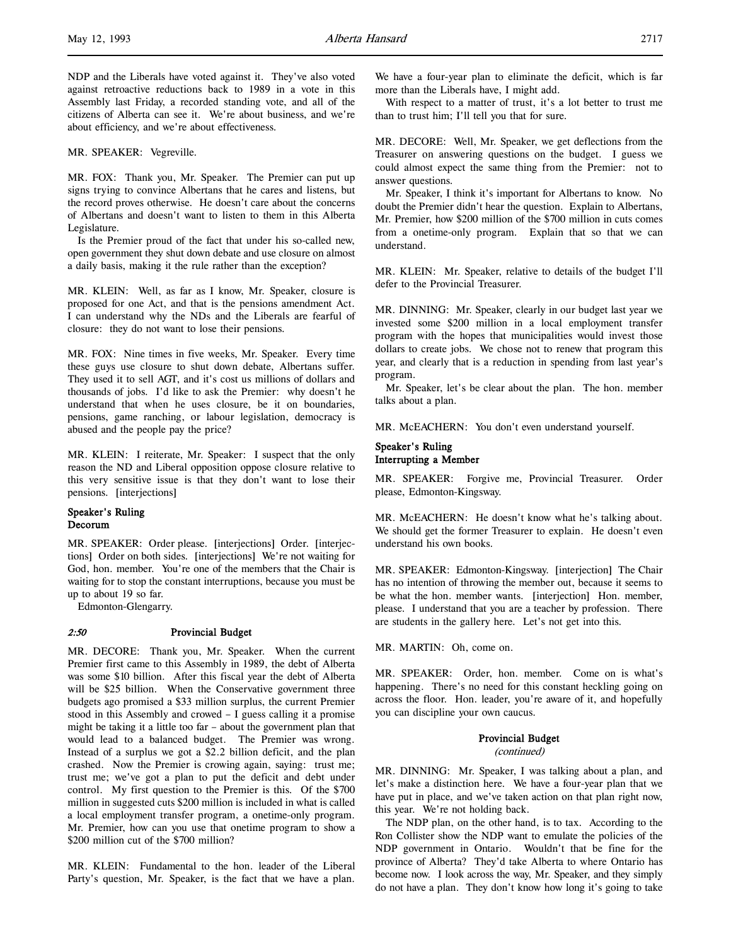NDP and the Liberals have voted against it. They've also voted against retroactive reductions back to 1989 in a vote in this Assembly last Friday, a recorded standing vote, and all of the citizens of Alberta can see it. We're about business, and we're about efficiency, and we're about effectiveness.

MR. SPEAKER: Vegreville.

MR. FOX: Thank you, Mr. Speaker. The Premier can put up signs trying to convince Albertans that he cares and listens, but the record proves otherwise. He doesn't care about the concerns of Albertans and doesn't want to listen to them in this Alberta Legislature.

Is the Premier proud of the fact that under his so-called new, open government they shut down debate and use closure on almost a daily basis, making it the rule rather than the exception?

MR. KLEIN: Well, as far as I know, Mr. Speaker, closure is proposed for one Act, and that is the pensions amendment Act. I can understand why the NDs and the Liberals are fearful of closure: they do not want to lose their pensions.

MR. FOX: Nine times in five weeks, Mr. Speaker. Every time these guys use closure to shut down debate, Albertans suffer. They used it to sell AGT, and it's cost us millions of dollars and thousands of jobs. I'd like to ask the Premier: why doesn't he understand that when he uses closure, be it on boundaries, pensions, game ranching, or labour legislation, democracy is abused and the people pay the price?

MR. KLEIN: I reiterate, Mr. Speaker: I suspect that the only reason the ND and Liberal opposition oppose closure relative to this very sensitive issue is that they don't want to lose their pensions. [interjections]

# Speaker's Ruling Decorum

MR. SPEAKER: Order please. [interjections] Order. [interjections] Order on both sides. [interjections] We're not waiting for God, hon. member. You're one of the members that the Chair is waiting for to stop the constant interruptions, because you must be up to about 19 so far.

Edmonton-Glengarry.

#### 2:50 Provincial Budget

MR. DECORE: Thank you, Mr. Speaker. When the current Premier first came to this Assembly in 1989, the debt of Alberta was some \$10 billion. After this fiscal year the debt of Alberta will be \$25 billion. When the Conservative government three budgets ago promised a \$33 million surplus, the current Premier stood in this Assembly and crowed – I guess calling it a promise might be taking it a little too far – about the government plan that would lead to a balanced budget. The Premier was wrong. Instead of a surplus we got a \$2.2 billion deficit, and the plan crashed. Now the Premier is crowing again, saying: trust me; trust me; we've got a plan to put the deficit and debt under control. My first question to the Premier is this. Of the \$700 million in suggested cuts \$200 million is included in what is called a local employment transfer program, a onetime-only program. Mr. Premier, how can you use that onetime program to show a \$200 million cut of the \$700 million?

MR. KLEIN: Fundamental to the hon. leader of the Liberal Party's question, Mr. Speaker, is the fact that we have a plan.

We have a four-year plan to eliminate the deficit, which is far more than the Liberals have, I might add.

With respect to a matter of trust, it's a lot better to trust me than to trust him; I'll tell you that for sure.

MR. DECORE: Well, Mr. Speaker, we get deflections from the Treasurer on answering questions on the budget. I guess we could almost expect the same thing from the Premier: not to answer questions.

Mr. Speaker, I think it's important for Albertans to know. No doubt the Premier didn't hear the question. Explain to Albertans, Mr. Premier, how \$200 million of the \$700 million in cuts comes from a onetime-only program. Explain that so that we can understand.

MR. KLEIN: Mr. Speaker, relative to details of the budget I'll defer to the Provincial Treasurer.

MR. DINNING: Mr. Speaker, clearly in our budget last year we invested some \$200 million in a local employment transfer program with the hopes that municipalities would invest those dollars to create jobs. We chose not to renew that program this year, and clearly that is a reduction in spending from last year's program.

Mr. Speaker, let's be clear about the plan. The hon. member talks about a plan.

MR. McEACHERN: You don't even understand yourself.

## Speaker's Ruling Interrupting a Member

MR. SPEAKER: Forgive me, Provincial Treasurer. Order please, Edmonton-Kingsway.

MR. McEACHERN: He doesn't know what he's talking about. We should get the former Treasurer to explain. He doesn't even understand his own books.

MR. SPEAKER: Edmonton-Kingsway. [interjection] The Chair has no intention of throwing the member out, because it seems to be what the hon. member wants. [interjection] Hon. member, please. I understand that you are a teacher by profession. There are students in the gallery here. Let's not get into this.

MR. MARTIN: Oh, come on.

MR. SPEAKER: Order, hon. member. Come on is what's happening. There's no need for this constant heckling going on across the floor. Hon. leader, you're aware of it, and hopefully you can discipline your own caucus.

### Provincial Budget

(continued)

MR. DINNING: Mr. Speaker, I was talking about a plan, and let's make a distinction here. We have a four-year plan that we have put in place, and we've taken action on that plan right now, this year. We're not holding back.

The NDP plan, on the other hand, is to tax. According to the Ron Collister show the NDP want to emulate the policies of the NDP government in Ontario. Wouldn't that be fine for the province of Alberta? They'd take Alberta to where Ontario has become now. I look across the way, Mr. Speaker, and they simply do not have a plan. They don't know how long it's going to take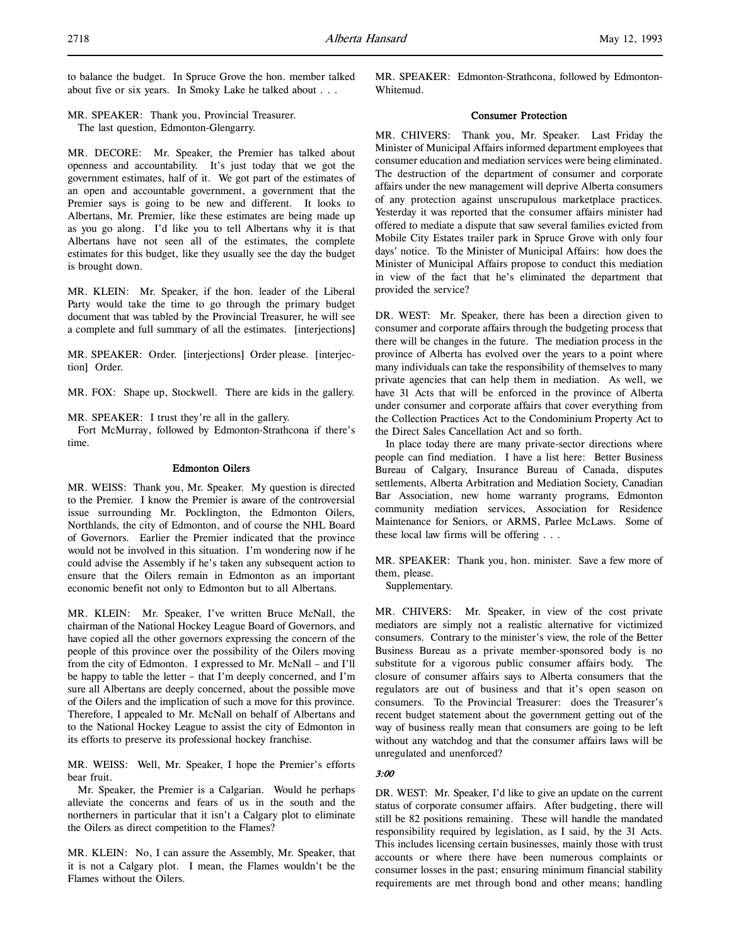to balance the budget. In Spruce Grove the hon. member talked about five or six years. In Smoky Lake he talked about . . .

MR. SPEAKER: Thank you, Provincial Treasurer. The last question, Edmonton-Glengarry.

MR. DECORE: Mr. Speaker, the Premier has talked about openness and accountability. It's just today that we got the government estimates, half of it. We got part of the estimates of an open and accountable government, a government that the Premier says is going to be new and different. It looks to Albertans, Mr. Premier, like these estimates are being made up as you go along. I'd like you to tell Albertans why it is that Albertans have not seen all of the estimates, the complete estimates for this budget, like they usually see the day the budget is brought down.

MR. KLEIN: Mr. Speaker, if the hon. leader of the Liberal Party would take the time to go through the primary budget document that was tabled by the Provincial Treasurer, he will see a complete and full summary of all the estimates. [interjections]

MR. SPEAKER: Order. [interjections] Order please. [interjection] Order.

MR. FOX: Shape up, Stockwell. There are kids in the gallery.

MR. SPEAKER: I trust they're all in the gallery.

Fort McMurray, followed by Edmonton-Strathcona if there's time.

### Edmonton Oilers

MR. WEISS: Thank you, Mr. Speaker. My question is directed to the Premier. I know the Premier is aware of the controversial issue surrounding Mr. Pocklington, the Edmonton Oilers, Northlands, the city of Edmonton, and of course the NHL Board of Governors. Earlier the Premier indicated that the province would not be involved in this situation. I'm wondering now if he could advise the Assembly if he's taken any subsequent action to ensure that the Oilers remain in Edmonton as an important economic benefit not only to Edmonton but to all Albertans.

MR. KLEIN: Mr. Speaker, I've written Bruce McNall, the chairman of the National Hockey League Board of Governors, and have copied all the other governors expressing the concern of the people of this province over the possibility of the Oilers moving from the city of Edmonton. I expressed to Mr. McNall – and I'll be happy to table the letter – that I'm deeply concerned, and I'm sure all Albertans are deeply concerned, about the possible move of the Oilers and the implication of such a move for this province. Therefore, I appealed to Mr. McNall on behalf of Albertans and to the National Hockey League to assist the city of Edmonton in its efforts to preserve its professional hockey franchise.

MR. WEISS: Well, Mr. Speaker, I hope the Premier's efforts bear fruit.

Mr. Speaker, the Premier is a Calgarian. Would he perhaps alleviate the concerns and fears of us in the south and the northerners in particular that it isn't a Calgary plot to eliminate the Oilers as direct competition to the Flames?

MR. KLEIN: No, I can assure the Assembly, Mr. Speaker, that it is not a Calgary plot. I mean, the Flames wouldn't be the Flames without the Oilers.

MR. SPEAKER: Edmonton-Strathcona, followed by Edmonton-Whitemud.

## Consumer Protection

MR. CHIVERS: Thank you, Mr. Speaker. Last Friday the Minister of Municipal Affairs informed department employees that consumer education and mediation services were being eliminated. The destruction of the department of consumer and corporate affairs under the new management will deprive Alberta consumers of any protection against unscrupulous marketplace practices. Yesterday it was reported that the consumer affairs minister had offered to mediate a dispute that saw several families evicted from Mobile City Estates trailer park in Spruce Grove with only four days' notice. To the Minister of Municipal Affairs: how does the Minister of Municipal Affairs propose to conduct this mediation in view of the fact that he's eliminated the department that provided the service?

DR. WEST: Mr. Speaker, there has been a direction given to consumer and corporate affairs through the budgeting process that there will be changes in the future. The mediation process in the province of Alberta has evolved over the years to a point where many individuals can take the responsibility of themselves to many private agencies that can help them in mediation. As well, we have 31 Acts that will be enforced in the province of Alberta under consumer and corporate affairs that cover everything from the Collection Practices Act to the Condominium Property Act to the Direct Sales Cancellation Act and so forth.

In place today there are many private-sector directions where people can find mediation. I have a list here: Better Business Bureau of Calgary, Insurance Bureau of Canada, disputes settlements, Alberta Arbitration and Mediation Society, Canadian Bar Association, new home warranty programs, Edmonton community mediation services, Association for Residence Maintenance for Seniors, or ARMS, Parlee McLaws. Some of these local law firms will be offering . . .

MR. SPEAKER: Thank you, hon. minister. Save a few more of them, please.

Supplementary.

MR. CHIVERS: Mr. Speaker, in view of the cost private mediators are simply not a realistic alternative for victimized consumers. Contrary to the minister's view, the role of the Better Business Bureau as a private member-sponsored body is no substitute for a vigorous public consumer affairs body. The closure of consumer affairs says to Alberta consumers that the regulators are out of business and that it's open season on consumers. To the Provincial Treasurer: does the Treasurer's recent budget statement about the government getting out of the way of business really mean that consumers are going to be left without any watchdog and that the consumer affairs laws will be unregulated and unenforced?

### 3:00

DR. WEST: Mr. Speaker, I'd like to give an update on the current status of corporate consumer affairs. After budgeting, there will still be 82 positions remaining. These will handle the mandated responsibility required by legislation, as I said, by the 31 Acts. This includes licensing certain businesses, mainly those with trust accounts or where there have been numerous complaints or consumer losses in the past; ensuring minimum financial stability requirements are met through bond and other means; handling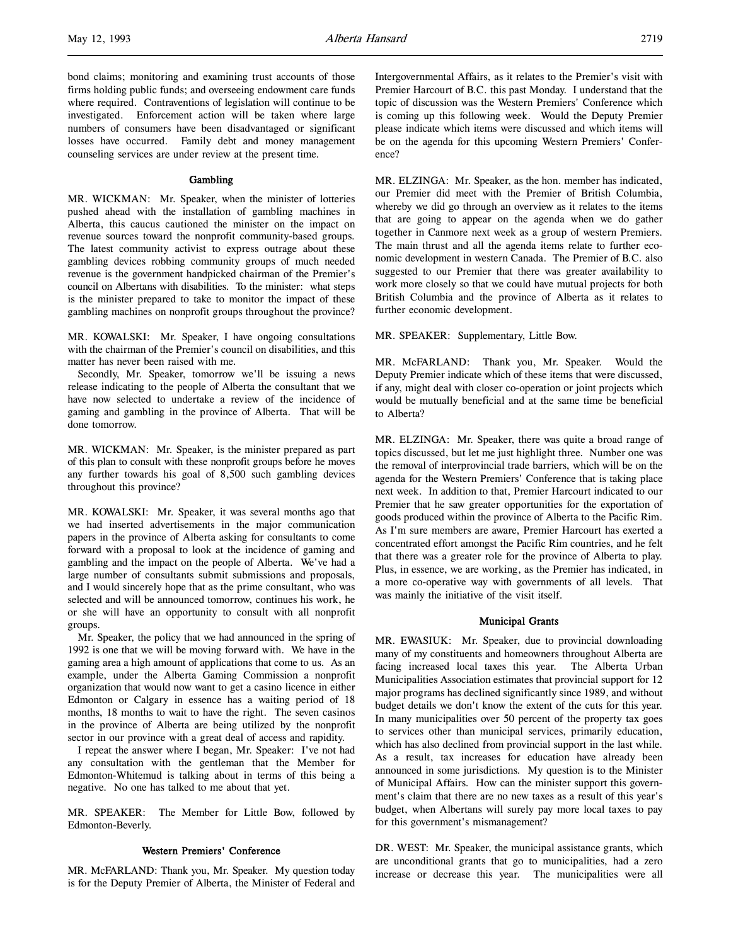### **Gambling**

MR. WICKMAN: Mr. Speaker, when the minister of lotteries pushed ahead with the installation of gambling machines in Alberta, this caucus cautioned the minister on the impact on revenue sources toward the nonprofit community-based groups. The latest community activist to express outrage about these gambling devices robbing community groups of much needed revenue is the government handpicked chairman of the Premier's council on Albertans with disabilities. To the minister: what steps is the minister prepared to take to monitor the impact of these gambling machines on nonprofit groups throughout the province?

MR. KOWALSKI: Mr. Speaker, I have ongoing consultations with the chairman of the Premier's council on disabilities, and this matter has never been raised with me.

Secondly, Mr. Speaker, tomorrow we'll be issuing a news release indicating to the people of Alberta the consultant that we have now selected to undertake a review of the incidence of gaming and gambling in the province of Alberta. That will be done tomorrow.

MR. WICKMAN: Mr. Speaker, is the minister prepared as part of this plan to consult with these nonprofit groups before he moves any further towards his goal of 8,500 such gambling devices throughout this province?

MR. KOWALSKI: Mr. Speaker, it was several months ago that we had inserted advertisements in the major communication papers in the province of Alberta asking for consultants to come forward with a proposal to look at the incidence of gaming and gambling and the impact on the people of Alberta. We've had a large number of consultants submit submissions and proposals, and I would sincerely hope that as the prime consultant, who was selected and will be announced tomorrow, continues his work, he or she will have an opportunity to consult with all nonprofit groups.

Mr. Speaker, the policy that we had announced in the spring of 1992 is one that we will be moving forward with. We have in the gaming area a high amount of applications that come to us. As an example, under the Alberta Gaming Commission a nonprofit organization that would now want to get a casino licence in either Edmonton or Calgary in essence has a waiting period of 18 months, 18 months to wait to have the right. The seven casinos in the province of Alberta are being utilized by the nonprofit sector in our province with a great deal of access and rapidity.

I repeat the answer where I began, Mr. Speaker: I've not had any consultation with the gentleman that the Member for Edmonton-Whitemud is talking about in terms of this being a negative. No one has talked to me about that yet.

MR. SPEAKER: The Member for Little Bow, followed by Edmonton-Beverly.

## Western Premiers' Conference

MR. McFARLAND: Thank you, Mr. Speaker. My question today is for the Deputy Premier of Alberta, the Minister of Federal and Intergovernmental Affairs, as it relates to the Premier's visit with Premier Harcourt of B.C. this past Monday. I understand that the topic of discussion was the Western Premiers' Conference which is coming up this following week. Would the Deputy Premier please indicate which items were discussed and which items will be on the agenda for this upcoming Western Premiers' Conference?

MR. ELZINGA: Mr. Speaker, as the hon. member has indicated, our Premier did meet with the Premier of British Columbia, whereby we did go through an overview as it relates to the items that are going to appear on the agenda when we do gather together in Canmore next week as a group of western Premiers. The main thrust and all the agenda items relate to further economic development in western Canada. The Premier of B.C. also suggested to our Premier that there was greater availability to work more closely so that we could have mutual projects for both British Columbia and the province of Alberta as it relates to further economic development.

MR. SPEAKER: Supplementary, Little Bow.

MR. McFARLAND: Thank you, Mr. Speaker. Would the Deputy Premier indicate which of these items that were discussed, if any, might deal with closer co-operation or joint projects which would be mutually beneficial and at the same time be beneficial to Alberta?

MR. ELZINGA: Mr. Speaker, there was quite a broad range of topics discussed, but let me just highlight three. Number one was the removal of interprovincial trade barriers, which will be on the agenda for the Western Premiers' Conference that is taking place next week. In addition to that, Premier Harcourt indicated to our Premier that he saw greater opportunities for the exportation of goods produced within the province of Alberta to the Pacific Rim. As I'm sure members are aware, Premier Harcourt has exerted a concentrated effort amongst the Pacific Rim countries, and he felt that there was a greater role for the province of Alberta to play. Plus, in essence, we are working, as the Premier has indicated, in a more co-operative way with governments of all levels. That was mainly the initiative of the visit itself.

### Municipal Grants

MR. EWASIUK: Mr. Speaker, due to provincial downloading many of my constituents and homeowners throughout Alberta are facing increased local taxes this year. The Alberta Urban Municipalities Association estimates that provincial support for 12 major programs has declined significantly since 1989, and without budget details we don't know the extent of the cuts for this year. In many municipalities over 50 percent of the property tax goes to services other than municipal services, primarily education, which has also declined from provincial support in the last while. As a result, tax increases for education have already been announced in some jurisdictions. My question is to the Minister of Municipal Affairs. How can the minister support this government's claim that there are no new taxes as a result of this year's budget, when Albertans will surely pay more local taxes to pay for this government's mismanagement?

DR. WEST: Mr. Speaker, the municipal assistance grants, which are unconditional grants that go to municipalities, had a zero increase or decrease this year. The municipalities were all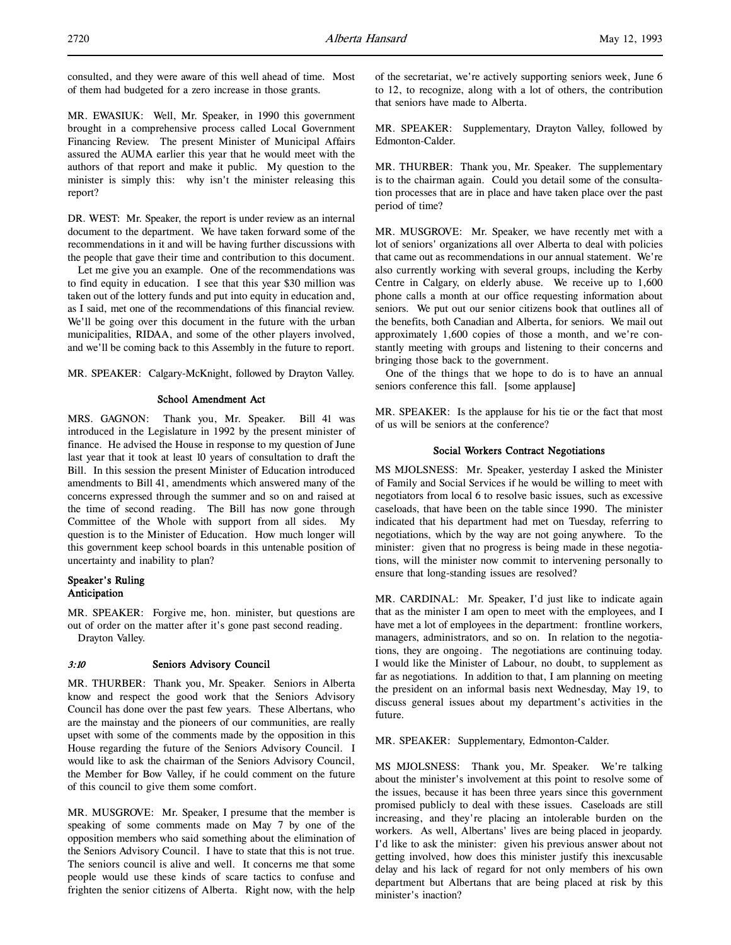consulted, and they were aware of this well ahead of time. Most of them had budgeted for a zero increase in those grants.

MR. EWASIUK: Well, Mr. Speaker, in 1990 this government brought in a comprehensive process called Local Government Financing Review. The present Minister of Municipal Affairs assured the AUMA earlier this year that he would meet with the authors of that report and make it public. My question to the minister is simply this: why isn't the minister releasing this report?

DR. WEST: Mr. Speaker, the report is under review as an internal document to the department. We have taken forward some of the recommendations in it and will be having further discussions with the people that gave their time and contribution to this document.

Let me give you an example. One of the recommendations was to find equity in education. I see that this year \$30 million was taken out of the lottery funds and put into equity in education and, as I said, met one of the recommendations of this financial review. We'll be going over this document in the future with the urban municipalities, RIDAA, and some of the other players involved, and we'll be coming back to this Assembly in the future to report.

MR. SPEAKER: Calgary-McKnight, followed by Drayton Valley.

## School Amendment Act

MRS. GAGNON: Thank you, Mr. Speaker. Bill 41 was introduced in the Legislature in 1992 by the present minister of finance. He advised the House in response to my question of June last year that it took at least 10 years of consultation to draft the Bill. In this session the present Minister of Education introduced amendments to Bill 41, amendments which answered many of the concerns expressed through the summer and so on and raised at the time of second reading. The Bill has now gone through Committee of the Whole with support from all sides. My question is to the Minister of Education. How much longer will this government keep school boards in this untenable position of uncertainty and inability to plan?

# Speaker's Ruling Anticipation

MR. SPEAKER: Forgive me, hon. minister, but questions are out of order on the matter after it's gone past second reading. Drayton Valley.

## 3:10 Seniors Advisory Council

MR. THURBER: Thank you, Mr. Speaker. Seniors in Alberta know and respect the good work that the Seniors Advisory Council has done over the past few years. These Albertans, who are the mainstay and the pioneers of our communities, are really upset with some of the comments made by the opposition in this House regarding the future of the Seniors Advisory Council. I would like to ask the chairman of the Seniors Advisory Council, the Member for Bow Valley, if he could comment on the future of this council to give them some comfort.

MR. MUSGROVE: Mr. Speaker, I presume that the member is speaking of some comments made on May 7 by one of the opposition members who said something about the elimination of the Seniors Advisory Council. I have to state that this is not true. The seniors council is alive and well. It concerns me that some people would use these kinds of scare tactics to confuse and frighten the senior citizens of Alberta. Right now, with the help

of the secretariat, we're actively supporting seniors week, June 6 to 12, to recognize, along with a lot of others, the contribution that seniors have made to Alberta.

MR. SPEAKER: Supplementary, Drayton Valley, followed by Edmonton-Calder.

MR. THURBER: Thank you, Mr. Speaker. The supplementary is to the chairman again. Could you detail some of the consultation processes that are in place and have taken place over the past period of time?

MR. MUSGROVE: Mr. Speaker, we have recently met with a lot of seniors' organizations all over Alberta to deal with policies that came out as recommendations in our annual statement. We're also currently working with several groups, including the Kerby Centre in Calgary, on elderly abuse. We receive up to 1,600 phone calls a month at our office requesting information about seniors. We put out our senior citizens book that outlines all of the benefits, both Canadian and Alberta, for seniors. We mail out approximately 1,600 copies of those a month, and we're constantly meeting with groups and listening to their concerns and bringing those back to the government.

One of the things that we hope to do is to have an annual seniors conference this fall. [some applause]

MR. SPEAKER: Is the applause for his tie or the fact that most of us will be seniors at the conference?

## Social Workers Contract Negotiations

MS MJOLSNESS: Mr. Speaker, yesterday I asked the Minister of Family and Social Services if he would be willing to meet with negotiators from local 6 to resolve basic issues, such as excessive caseloads, that have been on the table since 1990. The minister indicated that his department had met on Tuesday, referring to negotiations, which by the way are not going anywhere. To the minister: given that no progress is being made in these negotiations, will the minister now commit to intervening personally to ensure that long-standing issues are resolved?

MR. CARDINAL: Mr. Speaker, I'd just like to indicate again that as the minister I am open to meet with the employees, and I have met a lot of employees in the department: frontline workers, managers, administrators, and so on. In relation to the negotiations, they are ongoing. The negotiations are continuing today. I would like the Minister of Labour, no doubt, to supplement as far as negotiations. In addition to that, I am planning on meeting the president on an informal basis next Wednesday, May 19, to discuss general issues about my department's activities in the future.

MR. SPEAKER: Supplementary, Edmonton-Calder.

MS MJOLSNESS: Thank you, Mr. Speaker. We're talking about the minister's involvement at this point to resolve some of the issues, because it has been three years since this government promised publicly to deal with these issues. Caseloads are still increasing, and they're placing an intolerable burden on the workers. As well, Albertans' lives are being placed in jeopardy. I'd like to ask the minister: given his previous answer about not getting involved, how does this minister justify this inexcusable delay and his lack of regard for not only members of his own department but Albertans that are being placed at risk by this minister's inaction?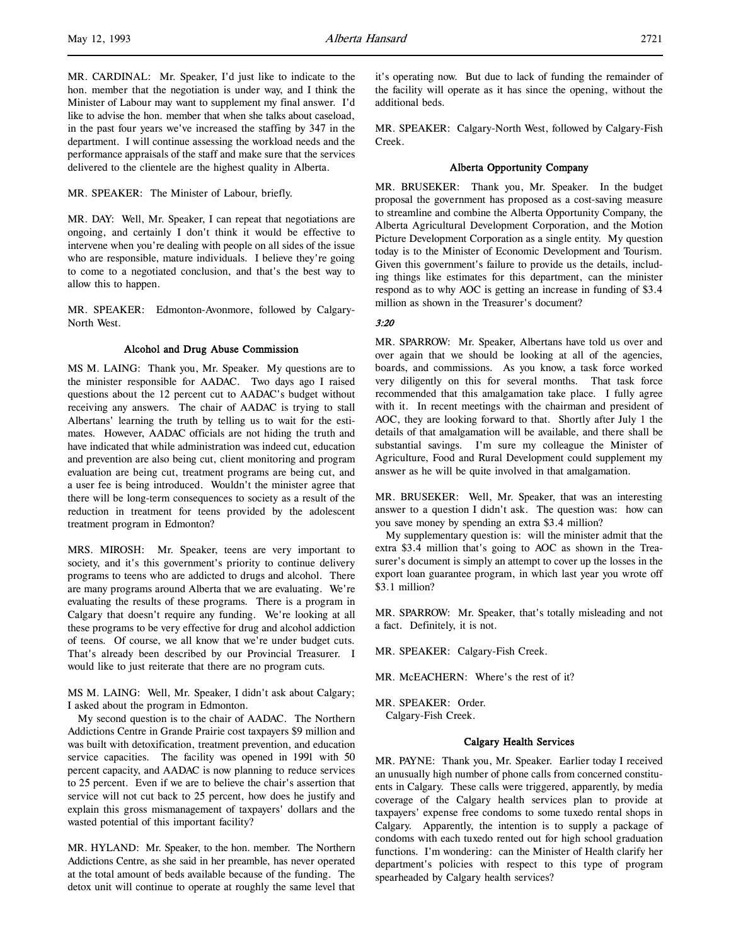MR. SPEAKER: The Minister of Labour, briefly.

MR. DAY: Well, Mr. Speaker, I can repeat that negotiations are ongoing, and certainly I don't think it would be effective to intervene when you're dealing with people on all sides of the issue who are responsible, mature individuals. I believe they're going to come to a negotiated conclusion, and that's the best way to allow this to happen.

MR. SPEAKER: Edmonton-Avonmore, followed by Calgary-North West.

## Alcohol and Drug Abuse Commission

MS M. LAING: Thank you, Mr. Speaker. My questions are to the minister responsible for AADAC. Two days ago I raised questions about the 12 percent cut to AADAC's budget without receiving any answers. The chair of AADAC is trying to stall Albertans' learning the truth by telling us to wait for the estimates. However, AADAC officials are not hiding the truth and have indicated that while administration was indeed cut, education and prevention are also being cut, client monitoring and program evaluation are being cut, treatment programs are being cut, and a user fee is being introduced. Wouldn't the minister agree that there will be long-term consequences to society as a result of the reduction in treatment for teens provided by the adolescent treatment program in Edmonton?

MRS. MIROSH: Mr. Speaker, teens are very important to society, and it's this government's priority to continue delivery programs to teens who are addicted to drugs and alcohol. There are many programs around Alberta that we are evaluating. We're evaluating the results of these programs. There is a program in Calgary that doesn't require any funding. We're looking at all these programs to be very effective for drug and alcohol addiction of teens. Of course, we all know that we're under budget cuts. That's already been described by our Provincial Treasurer. I would like to just reiterate that there are no program cuts.

MS M. LAING: Well, Mr. Speaker, I didn't ask about Calgary; I asked about the program in Edmonton.

My second question is to the chair of AADAC. The Northern Addictions Centre in Grande Prairie cost taxpayers \$9 million and was built with detoxification, treatment prevention, and education service capacities. The facility was opened in 1991 with 50 percent capacity, and AADAC is now planning to reduce services to 25 percent. Even if we are to believe the chair's assertion that service will not cut back to 25 percent, how does he justify and explain this gross mismanagement of taxpayers' dollars and the wasted potential of this important facility?

MR. HYLAND: Mr. Speaker, to the hon. member. The Northern Addictions Centre, as she said in her preamble, has never operated at the total amount of beds available because of the funding. The detox unit will continue to operate at roughly the same level that it's operating now. But due to lack of funding the remainder of the facility will operate as it has since the opening, without the additional beds.

MR. SPEAKER: Calgary-North West, followed by Calgary-Fish Creek.

## Alberta Opportunity Company

MR. BRUSEKER: Thank you, Mr. Speaker. In the budget proposal the government has proposed as a cost-saving measure to streamline and combine the Alberta Opportunity Company, the Alberta Agricultural Development Corporation, and the Motion Picture Development Corporation as a single entity. My question today is to the Minister of Economic Development and Tourism. Given this government's failure to provide us the details, including things like estimates for this department, can the minister respond as to why AOC is getting an increase in funding of \$3.4 million as shown in the Treasurer's document?

## 3:20

MR. SPARROW: Mr. Speaker, Albertans have told us over and over again that we should be looking at all of the agencies, boards, and commissions. As you know, a task force worked very diligently on this for several months. That task force recommended that this amalgamation take place. I fully agree with it. In recent meetings with the chairman and president of AOC, they are looking forward to that. Shortly after July 1 the details of that amalgamation will be available, and there shall be substantial savings. I'm sure my colleague the Minister of Agriculture, Food and Rural Development could supplement my answer as he will be quite involved in that amalgamation.

MR. BRUSEKER: Well, Mr. Speaker, that was an interesting answer to a question I didn't ask. The question was: how can you save money by spending an extra \$3.4 million?

My supplementary question is: will the minister admit that the extra \$3.4 million that's going to AOC as shown in the Treasurer's document is simply an attempt to cover up the losses in the export loan guarantee program, in which last year you wrote off \$3.1 million?

MR. SPARROW: Mr. Speaker, that's totally misleading and not a fact. Definitely, it is not.

- MR. SPEAKER: Calgary-Fish Creek.
- MR. McEACHERN: Where's the rest of it?
- MR. SPEAKER: Order.

Calgary-Fish Creek.

## Calgary Health Services

MR. PAYNE: Thank you, Mr. Speaker. Earlier today I received an unusually high number of phone calls from concerned constituents in Calgary. These calls were triggered, apparently, by media coverage of the Calgary health services plan to provide at taxpayers' expense free condoms to some tuxedo rental shops in Calgary. Apparently, the intention is to supply a package of condoms with each tuxedo rented out for high school graduation functions. I'm wondering: can the Minister of Health clarify her department's policies with respect to this type of program spearheaded by Calgary health services?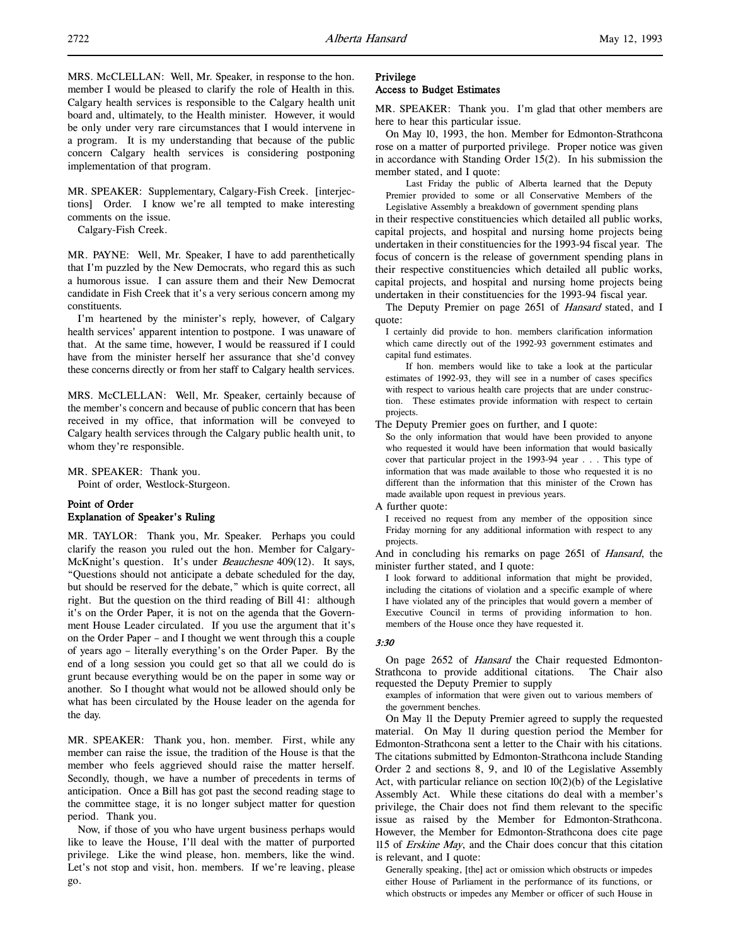MRS. McCLELLAN: Well, Mr. Speaker, in response to the hon. member I would be pleased to clarify the role of Health in this. Calgary health services is responsible to the Calgary health unit board and, ultimately, to the Health minister. However, it would be only under very rare circumstances that I would intervene in a program. It is my understanding that because of the public concern Calgary health services is considering postponing implementation of that program.

MR. SPEAKER: Supplementary, Calgary-Fish Creek. [interjections] Order. I know we're all tempted to make interesting comments on the issue.

Calgary-Fish Creek.

MR. PAYNE: Well, Mr. Speaker, I have to add parenthetically that I'm puzzled by the New Democrats, who regard this as such a humorous issue. I can assure them and their New Democrat candidate in Fish Creek that it's a very serious concern among my constituents.

I'm heartened by the minister's reply, however, of Calgary health services' apparent intention to postpone. I was unaware of that. At the same time, however, I would be reassured if I could have from the minister herself her assurance that she'd convey these concerns directly or from her staff to Calgary health services.

MRS. McCLELLAN: Well, Mr. Speaker, certainly because of the member's concern and because of public concern that has been received in my office, that information will be conveyed to Calgary health services through the Calgary public health unit, to whom they're responsible.

MR. SPEAKER: Thank you.

Point of order, Westlock-Sturgeon.

# Point of Order Explanation of Speaker's Ruling

MR. TAYLOR: Thank you, Mr. Speaker. Perhaps you could clarify the reason you ruled out the hon. Member for Calgary-McKnight's question. It's under *Beauchesne* 409(12). It says, "Questions should not anticipate a debate scheduled for the day, but should be reserved for the debate," which is quite correct, all right. But the question on the third reading of Bill 41: although it's on the Order Paper, it is not on the agenda that the Government House Leader circulated. If you use the argument that it's on the Order Paper – and I thought we went through this a couple of years ago – literally everything's on the Order Paper. By the end of a long session you could get so that all we could do is grunt because everything would be on the paper in some way or another. So I thought what would not be allowed should only be what has been circulated by the House leader on the agenda for the day.

MR. SPEAKER: Thank you, hon. member. First, while any member can raise the issue, the tradition of the House is that the member who feels aggrieved should raise the matter herself. Secondly, though, we have a number of precedents in terms of anticipation. Once a Bill has got past the second reading stage to the committee stage, it is no longer subject matter for question period. Thank you.

Now, if those of you who have urgent business perhaps would like to leave the House, I'll deal with the matter of purported privilege. Like the wind please, hon. members, like the wind. Let's not stop and visit, hon. members. If we're leaving, please go.

# Privilege

# Access to Budget Estimates

MR. SPEAKER: Thank you. I'm glad that other members are here to hear this particular issue.

On May 10, 1993, the hon. Member for Edmonton-Strathcona rose on a matter of purported privilege. Proper notice was given in accordance with Standing Order 15(2). In his submission the member stated, and I quote:

Last Friday the public of Alberta learned that the Deputy Premier provided to some or all Conservative Members of the

Legislative Assembly a breakdown of government spending plans in their respective constituencies which detailed all public works, capital projects, and hospital and nursing home projects being undertaken in their constituencies for the 1993-94 fiscal year. The focus of concern is the release of government spending plans in their respective constituencies which detailed all public works, capital projects, and hospital and nursing home projects being undertaken in their constituencies for the 1993-94 fiscal year.

The Deputy Premier on page 2651 of Hansard stated, and I quote:

I certainly did provide to hon. members clarification information which came directly out of the 1992-93 government estimates and capital fund estimates.

If hon. members would like to take a look at the particular estimates of 1992-93, they will see in a number of cases specifics with respect to various health care projects that are under construction. These estimates provide information with respect to certain projects.

The Deputy Premier goes on further, and I quote:

So the only information that would have been provided to anyone who requested it would have been information that would basically cover that particular project in the 1993-94 year . . . This type of information that was made available to those who requested it is no different than the information that this minister of the Crown has made available upon request in previous years.

A further quote:

I received no request from any member of the opposition since Friday morning for any additional information with respect to any projects.

And in concluding his remarks on page 2651 of Hansard, the minister further stated, and I quote:

I look forward to additional information that might be provided, including the citations of violation and a specific example of where I have violated any of the principles that would govern a member of Executive Council in terms of providing information to hon. members of the House once they have requested it.

### 3:30

On page 2652 of *Hansard* the Chair requested Edmonton-<br>rathcona to provide additional citations. The Chair also Strathcona to provide additional citations. requested the Deputy Premier to supply

examples of information that were given out to various members of the government benches.

On May 11 the Deputy Premier agreed to supply the requested material. On May 11 during question period the Member for Edmonton-Strathcona sent a letter to the Chair with his citations. The citations submitted by Edmonton-Strathcona include Standing Order 2 and sections 8, 9, and 10 of the Legislative Assembly Act, with particular reliance on section 10(2)(b) of the Legislative Assembly Act. While these citations do deal with a member's privilege, the Chair does not find them relevant to the specific issue as raised by the Member for Edmonton-Strathcona. However, the Member for Edmonton-Strathcona does cite page 115 of Erskine May, and the Chair does concur that this citation is relevant, and I quote:

Generally speaking, [the] act or omission which obstructs or impedes either House of Parliament in the performance of its functions, or which obstructs or impedes any Member or officer of such House in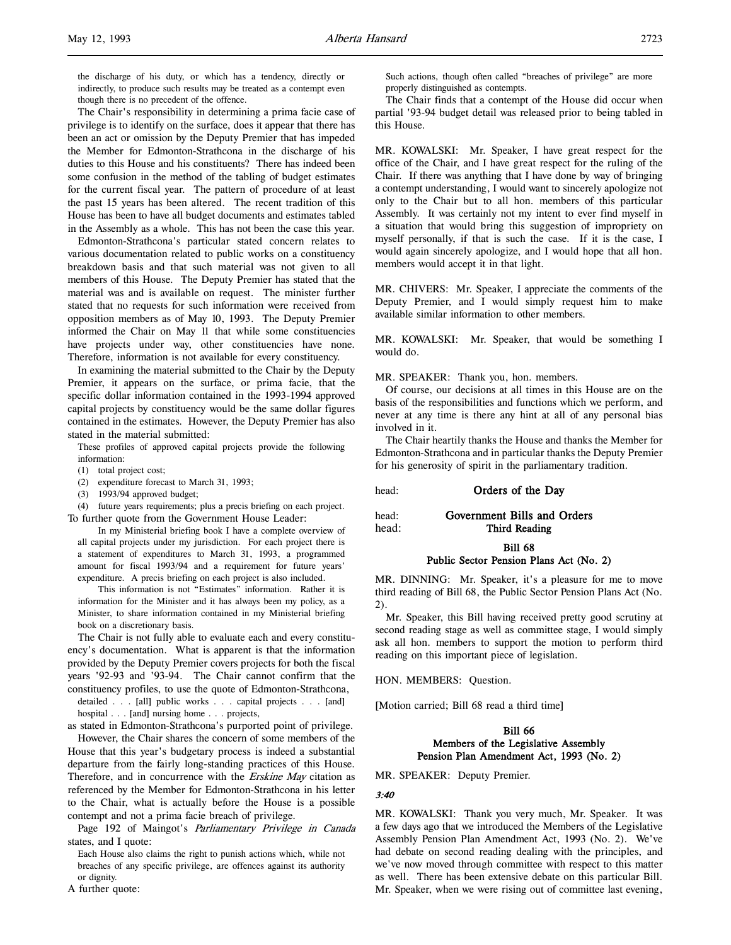the discharge of his duty, or which has a tendency, directly or indirectly, to produce such results may be treated as a contempt even though there is no precedent of the offence.

The Chair's responsibility in determining a prima facie case of privilege is to identify on the surface, does it appear that there has been an act or omission by the Deputy Premier that has impeded the Member for Edmonton-Strathcona in the discharge of his duties to this House and his constituents? There has indeed been some confusion in the method of the tabling of budget estimates for the current fiscal year. The pattern of procedure of at least the past 15 years has been altered. The recent tradition of this House has been to have all budget documents and estimates tabled in the Assembly as a whole. This has not been the case this year.

Edmonton-Strathcona's particular stated concern relates to various documentation related to public works on a constituency breakdown basis and that such material was not given to all members of this House. The Deputy Premier has stated that the material was and is available on request. The minister further stated that no requests for such information were received from opposition members as of May 10, 1993. The Deputy Premier informed the Chair on May 11 that while some constituencies have projects under way, other constituencies have none. Therefore, information is not available for every constituency.

In examining the material submitted to the Chair by the Deputy Premier, it appears on the surface, or prima facie, that the specific dollar information contained in the 1993-1994 approved capital projects by constituency would be the same dollar figures contained in the estimates. However, the Deputy Premier has also stated in the material submitted:

These profiles of approved capital projects provide the following information:

- (1) total project cost;
- (2) expenditure forecast to March 31, 1993;
- (3) 1993/94 approved budget;

(4) future years requirements; plus a precis briefing on each project. To further quote from the Government House Leader:

In my Ministerial briefing book I have a complete overview of all capital projects under my jurisdiction. For each project there is a statement of expenditures to March 31, 1993, a programmed amount for fiscal 1993/94 and a requirement for future years' expenditure. A precis briefing on each project is also included.

This information is not "Estimates" information. Rather it is information for the Minister and it has always been my policy, as a Minister, to share information contained in my Ministerial briefing book on a discretionary basis.

The Chair is not fully able to evaluate each and every constituency's documentation. What is apparent is that the information provided by the Deputy Premier covers projects for both the fiscal years '92-93 and '93-94. The Chair cannot confirm that the constituency profiles, to use the quote of Edmonton-Strathcona,

detailed . . . [all] public works . . . capital projects . . . [and] hospital . . . [and] nursing home . . . projects,

as stated in Edmonton-Strathcona's purported point of privilege.

However, the Chair shares the concern of some members of the House that this year's budgetary process is indeed a substantial departure from the fairly long-standing practices of this House. Therefore, and in concurrence with the *Erskine May* citation as referenced by the Member for Edmonton-Strathcona in his letter to the Chair, what is actually before the House is a possible contempt and not a prima facie breach of privilege.

Page 192 of Maingot's *Parliamentary Privilege in Canada* states, and I quote:

Each House also claims the right to punish actions which, while not breaches of any specific privilege, are offences against its authority or dignity.

A further quote:

Such actions, though often called "breaches of privilege" are more properly distinguished as contempts.

The Chair finds that a contempt of the House did occur when partial '93-94 budget detail was released prior to being tabled in this House.

MR. KOWALSKI: Mr. Speaker, I have great respect for the office of the Chair, and I have great respect for the ruling of the Chair. If there was anything that I have done by way of bringing a contempt understanding, I would want to sincerely apologize not only to the Chair but to all hon. members of this particular Assembly. It was certainly not my intent to ever find myself in a situation that would bring this suggestion of impropriety on myself personally, if that is such the case. If it is the case, I would again sincerely apologize, and I would hope that all hon. members would accept it in that light.

MR. CHIVERS: Mr. Speaker, I appreciate the comments of the Deputy Premier, and I would simply request him to make available similar information to other members.

MR. KOWALSKI: Mr. Speaker, that would be something I would do.

MR. SPEAKER: Thank you, hon. members.

Of course, our decisions at all times in this House are on the basis of the responsibilities and functions which we perform, and never at any time is there any hint at all of any personal bias involved in it.

The Chair heartily thanks the House and thanks the Member for Edmonton-Strathcona and in particular thanks the Deputy Premier for his generosity of spirit in the parliamentary tradition.

head: **Orders of the Day** 

head: Government Bills and Orders

head: Third Reading

### Bill 68 Public Sector Pension Plans Act (No. 2)

MR. DINNING: Mr. Speaker, it's a pleasure for me to move third reading of Bill 68, the Public Sector Pension Plans Act (No. 2).

Mr. Speaker, this Bill having received pretty good scrutiny at second reading stage as well as committee stage, I would simply ask all hon. members to support the motion to perform third reading on this important piece of legislation.

HON. MEMBERS: Question.

[Motion carried; Bill 68 read a third time]

## Bill 66 Members of the Legislative Assembly Pension Plan Amendment Act, 1993 (No. 2)

MR. SPEAKER: Deputy Premier.

## 3:40

MR. KOWALSKI: Thank you very much, Mr. Speaker. It was a few days ago that we introduced the Members of the Legislative Assembly Pension Plan Amendment Act, 1993 (No. 2). We've had debate on second reading dealing with the principles, and we've now moved through committee with respect to this matter as well. There has been extensive debate on this particular Bill. Mr. Speaker, when we were rising out of committee last evening,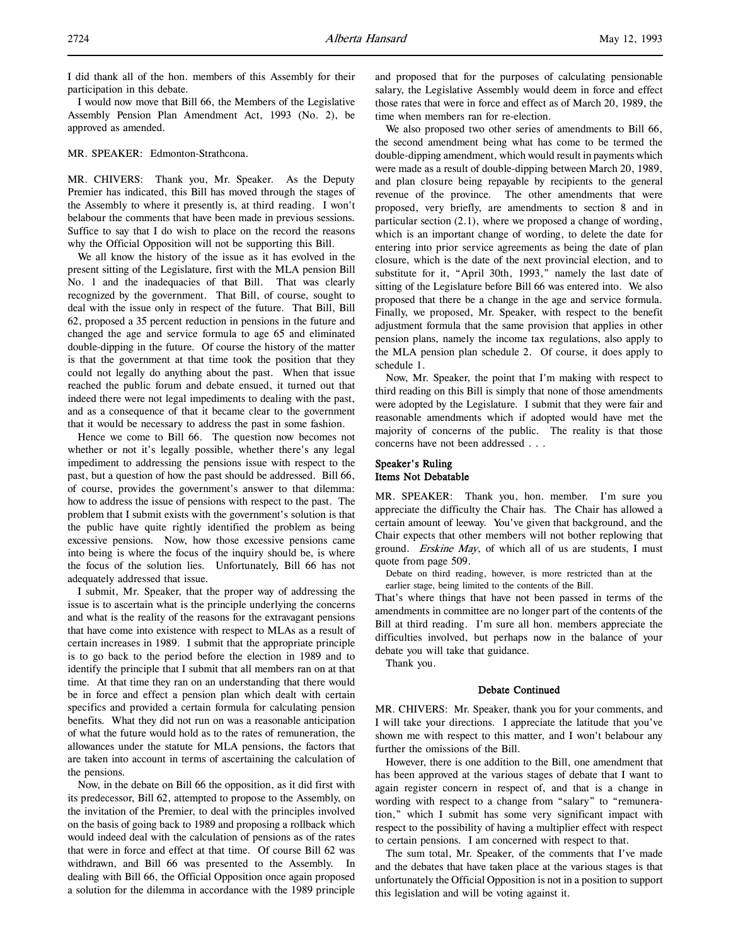I did thank all of the hon. members of this Assembly for their participation in this debate.

I would now move that Bill 66, the Members of the Legislative Assembly Pension Plan Amendment Act, 1993 (No. 2), be approved as amended.

### MR. SPEAKER: Edmonton-Strathcona.

MR. CHIVERS: Thank you, Mr. Speaker. As the Deputy Premier has indicated, this Bill has moved through the stages of the Assembly to where it presently is, at third reading. I won't belabour the comments that have been made in previous sessions. Suffice to say that I do wish to place on the record the reasons why the Official Opposition will not be supporting this Bill.

We all know the history of the issue as it has evolved in the present sitting of the Legislature, first with the MLA pension Bill No. 1 and the inadequacies of that Bill. That was clearly recognized by the government. That Bill, of course, sought to deal with the issue only in respect of the future. That Bill, Bill 62, proposed a 35 percent reduction in pensions in the future and changed the age and service formula to age 65 and eliminated double-dipping in the future. Of course the history of the matter is that the government at that time took the position that they could not legally do anything about the past. When that issue reached the public forum and debate ensued, it turned out that indeed there were not legal impediments to dealing with the past, and as a consequence of that it became clear to the government that it would be necessary to address the past in some fashion.

Hence we come to Bill 66. The question now becomes not whether or not it's legally possible, whether there's any legal impediment to addressing the pensions issue with respect to the past, but a question of how the past should be addressed. Bill 66, of course, provides the government's answer to that dilemma: how to address the issue of pensions with respect to the past. The problem that I submit exists with the government's solution is that the public have quite rightly identified the problem as being excessive pensions. Now, how those excessive pensions came into being is where the focus of the inquiry should be, is where the focus of the solution lies. Unfortunately, Bill 66 has not adequately addressed that issue.

I submit, Mr. Speaker, that the proper way of addressing the issue is to ascertain what is the principle underlying the concerns and what is the reality of the reasons for the extravagant pensions that have come into existence with respect to MLAs as a result of certain increases in 1989. I submit that the appropriate principle is to go back to the period before the election in 1989 and to identify the principle that I submit that all members ran on at that time. At that time they ran on an understanding that there would be in force and effect a pension plan which dealt with certain specifics and provided a certain formula for calculating pension benefits. What they did not run on was a reasonable anticipation of what the future would hold as to the rates of remuneration, the allowances under the statute for MLA pensions, the factors that are taken into account in terms of ascertaining the calculation of the pensions.

Now, in the debate on Bill 66 the opposition, as it did first with its predecessor, Bill 62, attempted to propose to the Assembly, on the invitation of the Premier, to deal with the principles involved on the basis of going back to 1989 and proposing a rollback which would indeed deal with the calculation of pensions as of the rates that were in force and effect at that time. Of course Bill 62 was withdrawn, and Bill 66 was presented to the Assembly. In dealing with Bill 66, the Official Opposition once again proposed a solution for the dilemma in accordance with the 1989 principle

and proposed that for the purposes of calculating pensionable salary, the Legislative Assembly would deem in force and effect those rates that were in force and effect as of March 20, 1989, the time when members ran for re-election.

We also proposed two other series of amendments to Bill 66, the second amendment being what has come to be termed the double-dipping amendment, which would result in payments which were made as a result of double-dipping between March 20, 1989, and plan closure being repayable by recipients to the general revenue of the province. The other amendments that were proposed, very briefly, are amendments to section 8 and in particular section (2.1), where we proposed a change of wording, which is an important change of wording, to delete the date for entering into prior service agreements as being the date of plan closure, which is the date of the next provincial election, and to substitute for it, "April 30th, 1993," namely the last date of sitting of the Legislature before Bill 66 was entered into. We also proposed that there be a change in the age and service formula. Finally, we proposed, Mr. Speaker, with respect to the benefit adjustment formula that the same provision that applies in other pension plans, namely the income tax regulations, also apply to the MLA pension plan schedule 2. Of course, it does apply to schedule 1.

Now, Mr. Speaker, the point that I'm making with respect to third reading on this Bill is simply that none of those amendments were adopted by the Legislature. I submit that they were fair and reasonable amendments which if adopted would have met the majority of concerns of the public. The reality is that those concerns have not been addressed . . .

# Speaker's Ruling Items Not Debatable

MR. SPEAKER: Thank you, hon. member. I'm sure you appreciate the difficulty the Chair has. The Chair has allowed a certain amount of leeway. You've given that background, and the Chair expects that other members will not bother replowing that ground. Erskine May, of which all of us are students, I must quote from page 509.

Debate on third reading, however, is more restricted than at the earlier stage, being limited to the contents of the Bill.

That's where things that have not been passed in terms of the amendments in committee are no longer part of the contents of the Bill at third reading. I'm sure all hon. members appreciate the difficulties involved, but perhaps now in the balance of your debate you will take that guidance.

Thank you.

## Debate Continued

MR. CHIVERS: Mr. Speaker, thank you for your comments, and I will take your directions. I appreciate the latitude that you've shown me with respect to this matter, and I won't belabour any further the omissions of the Bill.

However, there is one addition to the Bill, one amendment that has been approved at the various stages of debate that I want to again register concern in respect of, and that is a change in wording with respect to a change from "salary" to "remuneration," which I submit has some very significant impact with respect to the possibility of having a multiplier effect with respect to certain pensions. I am concerned with respect to that.

The sum total, Mr. Speaker, of the comments that I've made and the debates that have taken place at the various stages is that unfortunately the Official Opposition is not in a position to support this legislation and will be voting against it.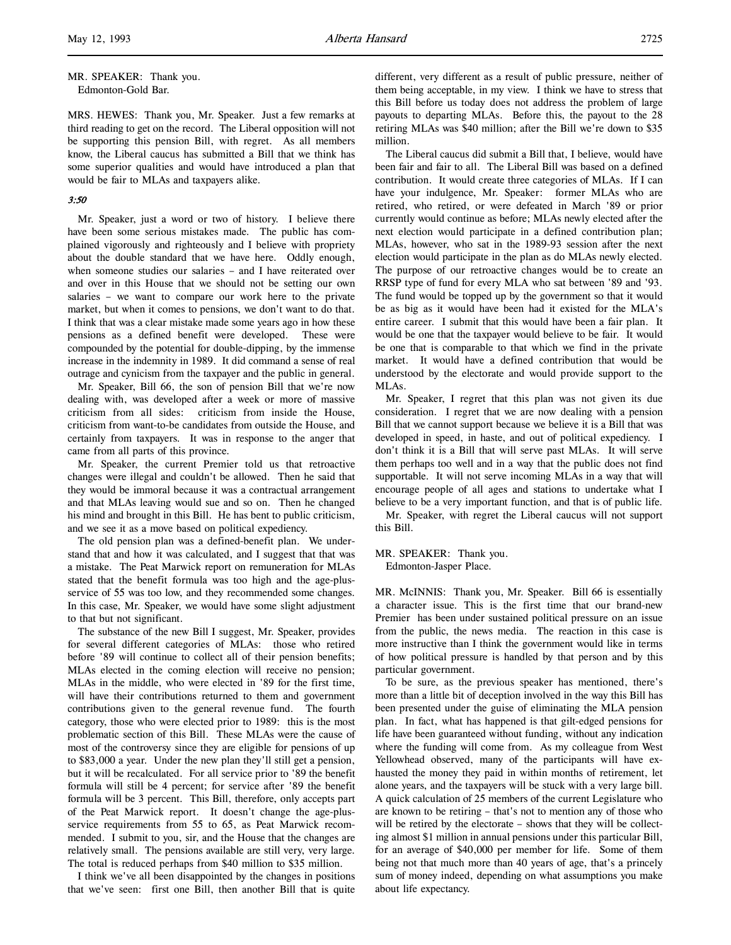MRS. HEWES: Thank you, Mr. Speaker. Just a few remarks at third reading to get on the record. The Liberal opposition will not be supporting this pension Bill, with regret. As all members know, the Liberal caucus has submitted a Bill that we think has some superior qualities and would have introduced a plan that would be fair to MLAs and taxpayers alike.

## 3:50

Mr. Speaker, just a word or two of history. I believe there have been some serious mistakes made. The public has complained vigorously and righteously and I believe with propriety about the double standard that we have here. Oddly enough, when someone studies our salaries – and I have reiterated over and over in this House that we should not be setting our own salaries – we want to compare our work here to the private market, but when it comes to pensions, we don't want to do that. I think that was a clear mistake made some years ago in how these pensions as a defined benefit were developed. These were compounded by the potential for double-dipping, by the immense increase in the indemnity in 1989. It did command a sense of real outrage and cynicism from the taxpayer and the public in general.

Mr. Speaker, Bill 66, the son of pension Bill that we're now dealing with, was developed after a week or more of massive criticism from all sides: criticism from inside the House, criticism from want-to-be candidates from outside the House, and certainly from taxpayers. It was in response to the anger that came from all parts of this province.

Mr. Speaker, the current Premier told us that retroactive changes were illegal and couldn't be allowed. Then he said that they would be immoral because it was a contractual arrangement and that MLAs leaving would sue and so on. Then he changed his mind and brought in this Bill. He has bent to public criticism, and we see it as a move based on political expediency.

The old pension plan was a defined-benefit plan. We understand that and how it was calculated, and I suggest that that was a mistake. The Peat Marwick report on remuneration for MLAs stated that the benefit formula was too high and the age-plusservice of 55 was too low, and they recommended some changes. In this case, Mr. Speaker, we would have some slight adjustment to that but not significant.

The substance of the new Bill I suggest, Mr. Speaker, provides for several different categories of MLAs: those who retired before '89 will continue to collect all of their pension benefits; MLAs elected in the coming election will receive no pension; MLAs in the middle, who were elected in '89 for the first time, will have their contributions returned to them and government contributions given to the general revenue fund. The fourth category, those who were elected prior to 1989: this is the most problematic section of this Bill. These MLAs were the cause of most of the controversy since they are eligible for pensions of up to \$83,000 a year. Under the new plan they'll still get a pension, but it will be recalculated. For all service prior to '89 the benefit formula will still be 4 percent; for service after '89 the benefit formula will be 3 percent. This Bill, therefore, only accepts part of the Peat Marwick report. It doesn't change the age-plusservice requirements from 55 to 65, as Peat Marwick recommended. I submit to you, sir, and the House that the changes are relatively small. The pensions available are still very, very large. The total is reduced perhaps from \$40 million to \$35 million.

I think we've all been disappointed by the changes in positions that we've seen: first one Bill, then another Bill that is quite

different, very different as a result of public pressure, neither of them being acceptable, in my view. I think we have to stress that this Bill before us today does not address the problem of large payouts to departing MLAs. Before this, the payout to the 28 retiring MLAs was \$40 million; after the Bill we're down to \$35 million.

The Liberal caucus did submit a Bill that, I believe, would have been fair and fair to all. The Liberal Bill was based on a defined contribution. It would create three categories of MLAs. If I can have your indulgence, Mr. Speaker: former MLAs who are retired, who retired, or were defeated in March '89 or prior currently would continue as before; MLAs newly elected after the next election would participate in a defined contribution plan; MLAs, however, who sat in the 1989-93 session after the next election would participate in the plan as do MLAs newly elected. The purpose of our retroactive changes would be to create an RRSP type of fund for every MLA who sat between '89 and '93. The fund would be topped up by the government so that it would be as big as it would have been had it existed for the MLA's entire career. I submit that this would have been a fair plan. It would be one that the taxpayer would believe to be fair. It would be one that is comparable to that which we find in the private market. It would have a defined contribution that would be understood by the electorate and would provide support to the MLAs.

Mr. Speaker, I regret that this plan was not given its due consideration. I regret that we are now dealing with a pension Bill that we cannot support because we believe it is a Bill that was developed in speed, in haste, and out of political expediency. I don't think it is a Bill that will serve past MLAs. It will serve them perhaps too well and in a way that the public does not find supportable. It will not serve incoming MLAs in a way that will encourage people of all ages and stations to undertake what I believe to be a very important function, and that is of public life.

Mr. Speaker, with regret the Liberal caucus will not support this Bill.

MR. SPEAKER: Thank you. Edmonton-Jasper Place.

MR. McINNIS: Thank you, Mr. Speaker. Bill 66 is essentially a character issue. This is the first time that our brand-new Premier has been under sustained political pressure on an issue from the public, the news media. The reaction in this case is more instructive than I think the government would like in terms of how political pressure is handled by that person and by this particular government.

To be sure, as the previous speaker has mentioned, there's more than a little bit of deception involved in the way this Bill has been presented under the guise of eliminating the MLA pension plan. In fact, what has happened is that gilt-edged pensions for life have been guaranteed without funding, without any indication where the funding will come from. As my colleague from West Yellowhead observed, many of the participants will have exhausted the money they paid in within months of retirement, let alone years, and the taxpayers will be stuck with a very large bill. A quick calculation of 25 members of the current Legislature who are known to be retiring – that's not to mention any of those who will be retired by the electorate – shows that they will be collecting almost \$1 million in annual pensions under this particular Bill, for an average of \$40,000 per member for life. Some of them being not that much more than 40 years of age, that's a princely sum of money indeed, depending on what assumptions you make about life expectancy.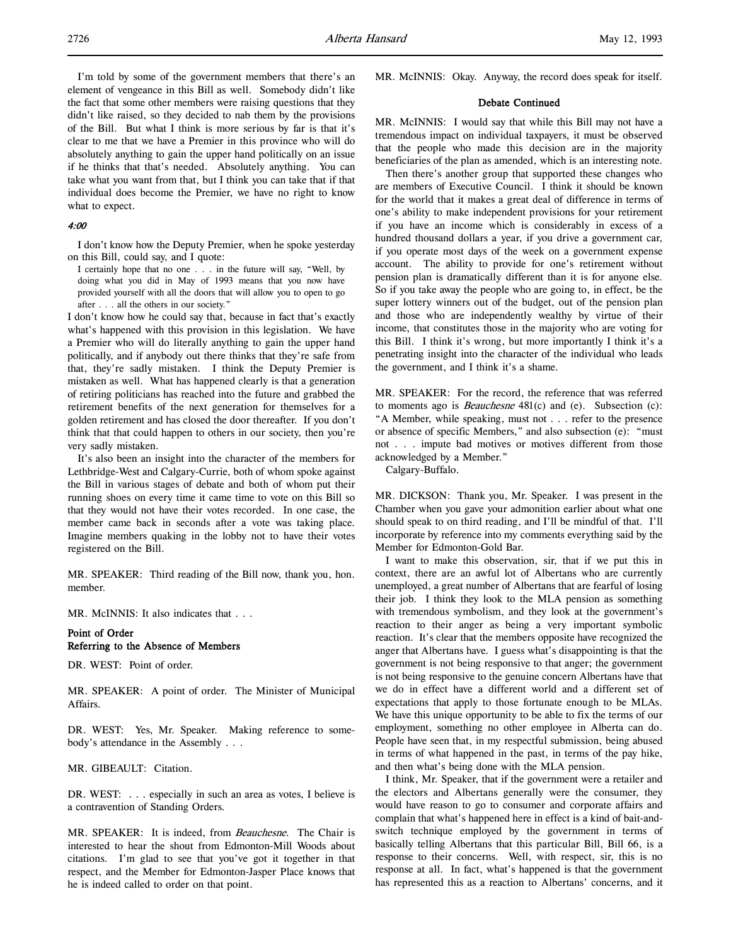I'm told by some of the government members that there's an element of vengeance in this Bill as well. Somebody didn't like the fact that some other members were raising questions that they didn't like raised, so they decided to nab them by the provisions of the Bill. But what I think is more serious by far is that it's clear to me that we have a Premier in this province who will do absolutely anything to gain the upper hand politically on an issue if he thinks that that's needed. Absolutely anything. You can take what you want from that, but I think you can take that if that individual does become the Premier, we have no right to know what to expect.

### 4:00

I don't know how the Deputy Premier, when he spoke yesterday on this Bill, could say, and I quote:

I certainly hope that no one . . . in the future will say, "Well, by doing what you did in May of 1993 means that you now have provided yourself with all the doors that will allow you to open to go after . . . all the others in our society."

I don't know how he could say that, because in fact that's exactly what's happened with this provision in this legislation. We have a Premier who will do literally anything to gain the upper hand politically, and if anybody out there thinks that they're safe from that, they're sadly mistaken. I think the Deputy Premier is mistaken as well. What has happened clearly is that a generation of retiring politicians has reached into the future and grabbed the retirement benefits of the next generation for themselves for a golden retirement and has closed the door thereafter. If you don't think that that could happen to others in our society, then you're very sadly mistaken.

It's also been an insight into the character of the members for Lethbridge-West and Calgary-Currie, both of whom spoke against the Bill in various stages of debate and both of whom put their running shoes on every time it came time to vote on this Bill so that they would not have their votes recorded. In one case, the member came back in seconds after a vote was taking place. Imagine members quaking in the lobby not to have their votes registered on the Bill.

MR. SPEAKER: Third reading of the Bill now, thank you, hon. member.

MR. McINNIS: It also indicates that . . .

## Point of Order Referring to the Absence of Members

DR. WEST: Point of order.

MR. SPEAKER: A point of order. The Minister of Municipal Affairs.

DR. WEST: Yes, Mr. Speaker. Making reference to somebody's attendance in the Assembly . . .

MR. GIBEAULT: Citation.

DR. WEST: . . . especially in such an area as votes, I believe is a contravention of Standing Orders.

MR. SPEAKER: It is indeed, from Beauchesne. The Chair is interested to hear the shout from Edmonton-Mill Woods about citations. I'm glad to see that you've got it together in that respect, and the Member for Edmonton-Jasper Place knows that he is indeed called to order on that point.

MR. McINNIS: Okay. Anyway, the record does speak for itself.

### Debate Continued

MR. McINNIS: I would say that while this Bill may not have a tremendous impact on individual taxpayers, it must be observed that the people who made this decision are in the majority beneficiaries of the plan as amended, which is an interesting note.

Then there's another group that supported these changes who are members of Executive Council. I think it should be known for the world that it makes a great deal of difference in terms of one's ability to make independent provisions for your retirement if you have an income which is considerably in excess of a hundred thousand dollars a year, if you drive a government car, if you operate most days of the week on a government expense account. The ability to provide for one's retirement without pension plan is dramatically different than it is for anyone else. So if you take away the people who are going to, in effect, be the super lottery winners out of the budget, out of the pension plan and those who are independently wealthy by virtue of their income, that constitutes those in the majority who are voting for this Bill. I think it's wrong, but more importantly I think it's a penetrating insight into the character of the individual who leads the government, and I think it's a shame.

MR. SPEAKER: For the record, the reference that was referred to moments ago is Beauchesne 481(c) and (e). Subsection (c): "A Member, while speaking, must not . . . refer to the presence or absence of specific Members," and also subsection (e): "must not . . . impute bad motives or motives different from those acknowledged by a Member."

Calgary-Buffalo.

MR. DICKSON: Thank you, Mr. Speaker. I was present in the Chamber when you gave your admonition earlier about what one should speak to on third reading, and I'll be mindful of that. I'll incorporate by reference into my comments everything said by the Member for Edmonton-Gold Bar.

I want to make this observation, sir, that if we put this in context, there are an awful lot of Albertans who are currently unemployed, a great number of Albertans that are fearful of losing their job. I think they look to the MLA pension as something with tremendous symbolism, and they look at the government's reaction to their anger as being a very important symbolic reaction. It's clear that the members opposite have recognized the anger that Albertans have. I guess what's disappointing is that the government is not being responsive to that anger; the government is not being responsive to the genuine concern Albertans have that we do in effect have a different world and a different set of expectations that apply to those fortunate enough to be MLAs. We have this unique opportunity to be able to fix the terms of our employment, something no other employee in Alberta can do. People have seen that, in my respectful submission, being abused in terms of what happened in the past, in terms of the pay hike, and then what's being done with the MLA pension.

I think, Mr. Speaker, that if the government were a retailer and the electors and Albertans generally were the consumer, they would have reason to go to consumer and corporate affairs and complain that what's happened here in effect is a kind of bait-andswitch technique employed by the government in terms of basically telling Albertans that this particular Bill, Bill 66, is a response to their concerns. Well, with respect, sir, this is no response at all. In fact, what's happened is that the government has represented this as a reaction to Albertans' concerns, and it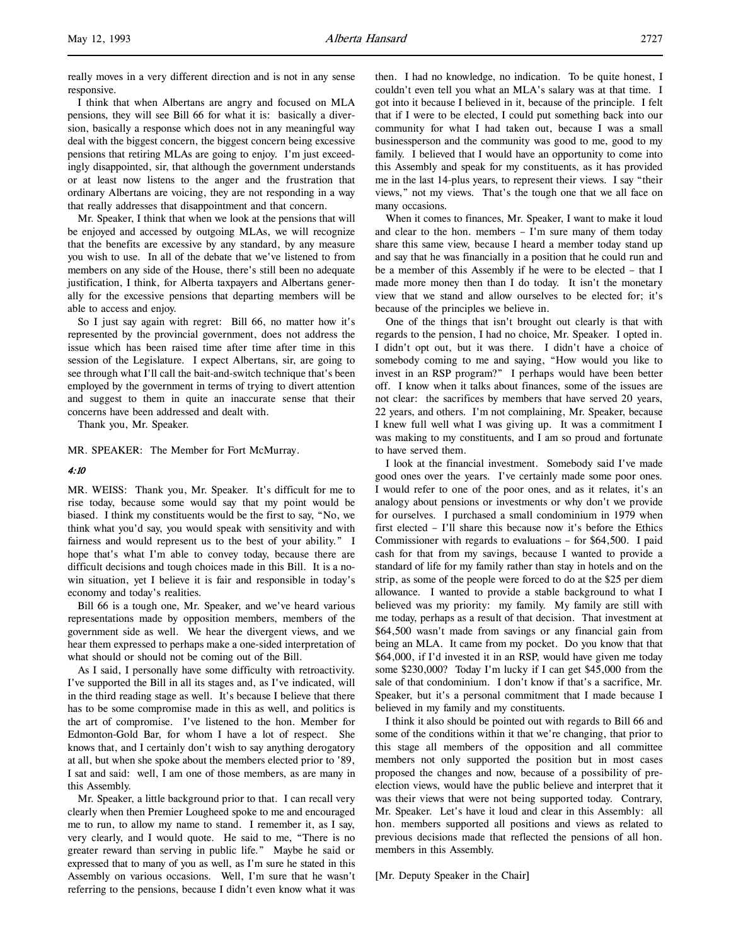l,

really moves in a very different direction and is not in any sense responsive.

I think that when Albertans are angry and focused on MLA pensions, they will see Bill 66 for what it is: basically a diversion, basically a response which does not in any meaningful way deal with the biggest concern, the biggest concern being excessive pensions that retiring MLAs are going to enjoy. I'm just exceedingly disappointed, sir, that although the government understands or at least now listens to the anger and the frustration that ordinary Albertans are voicing, they are not responding in a way that really addresses that disappointment and that concern.

Mr. Speaker, I think that when we look at the pensions that will be enjoyed and accessed by outgoing MLAs, we will recognize that the benefits are excessive by any standard, by any measure you wish to use. In all of the debate that we've listened to from members on any side of the House, there's still been no adequate justification, I think, for Alberta taxpayers and Albertans generally for the excessive pensions that departing members will be able to access and enjoy.

So I just say again with regret: Bill 66, no matter how it's represented by the provincial government, does not address the issue which has been raised time after time after time in this session of the Legislature. I expect Albertans, sir, are going to see through what I'll call the bait-and-switch technique that's been employed by the government in terms of trying to divert attention and suggest to them in quite an inaccurate sense that their concerns have been addressed and dealt with.

Thank you, Mr. Speaker.

MR. SPEAKER: The Member for Fort McMurray.

### 4:10

MR. WEISS: Thank you, Mr. Speaker. It's difficult for me to rise today, because some would say that my point would be biased. I think my constituents would be the first to say, "No, we think what you'd say, you would speak with sensitivity and with fairness and would represent us to the best of your ability." I hope that's what I'm able to convey today, because there are difficult decisions and tough choices made in this Bill. It is a nowin situation, yet I believe it is fair and responsible in today's economy and today's realities.

Bill 66 is a tough one, Mr. Speaker, and we've heard various representations made by opposition members, members of the government side as well. We hear the divergent views, and we hear them expressed to perhaps make a one-sided interpretation of what should or should not be coming out of the Bill.

As I said, I personally have some difficulty with retroactivity. I've supported the Bill in all its stages and, as I've indicated, will in the third reading stage as well. It's because I believe that there has to be some compromise made in this as well, and politics is the art of compromise. I've listened to the hon. Member for Edmonton-Gold Bar, for whom I have a lot of respect. She knows that, and I certainly don't wish to say anything derogatory at all, but when she spoke about the members elected prior to '89, I sat and said: well, I am one of those members, as are many in this Assembly.

Mr. Speaker, a little background prior to that. I can recall very clearly when then Premier Lougheed spoke to me and encouraged me to run, to allow my name to stand. I remember it, as I say, very clearly, and I would quote. He said to me, "There is no greater reward than serving in public life." Maybe he said or expressed that to many of you as well, as I'm sure he stated in this Assembly on various occasions. Well, I'm sure that he wasn't referring to the pensions, because I didn't even know what it was

then. I had no knowledge, no indication. To be quite honest, I couldn't even tell you what an MLA's salary was at that time. I got into it because I believed in it, because of the principle. I felt that if I were to be elected, I could put something back into our community for what I had taken out, because I was a small businessperson and the community was good to me, good to my family. I believed that I would have an opportunity to come into this Assembly and speak for my constituents, as it has provided me in the last 14-plus years, to represent their views. I say "their views," not my views. That's the tough one that we all face on many occasions.

When it comes to finances, Mr. Speaker, I want to make it loud and clear to the hon. members – I'm sure many of them today share this same view, because I heard a member today stand up and say that he was financially in a position that he could run and be a member of this Assembly if he were to be elected – that I made more money then than I do today. It isn't the monetary view that we stand and allow ourselves to be elected for; it's because of the principles we believe in.

One of the things that isn't brought out clearly is that with regards to the pension, I had no choice, Mr. Speaker. I opted in. I didn't opt out, but it was there. I didn't have a choice of somebody coming to me and saying, "How would you like to invest in an RSP program?" I perhaps would have been better off. I know when it talks about finances, some of the issues are not clear: the sacrifices by members that have served 20 years, 22 years, and others. I'm not complaining, Mr. Speaker, because I knew full well what I was giving up. It was a commitment I was making to my constituents, and I am so proud and fortunate to have served them.

I look at the financial investment. Somebody said I've made good ones over the years. I've certainly made some poor ones. I would refer to one of the poor ones, and as it relates, it's an analogy about pensions or investments or why don't we provide for ourselves. I purchased a small condominium in 1979 when first elected – I'll share this because now it's before the Ethics Commissioner with regards to evaluations – for \$64,500. I paid cash for that from my savings, because I wanted to provide a standard of life for my family rather than stay in hotels and on the strip, as some of the people were forced to do at the \$25 per diem allowance. I wanted to provide a stable background to what I believed was my priority: my family. My family are still with me today, perhaps as a result of that decision. That investment at \$64,500 wasn't made from savings or any financial gain from being an MLA. It came from my pocket. Do you know that that \$64,000, if I'd invested it in an RSP, would have given me today some \$230,000? Today I'm lucky if I can get \$45,000 from the sale of that condominium. I don't know if that's a sacrifice, Mr. Speaker, but it's a personal commitment that I made because I believed in my family and my constituents.

I think it also should be pointed out with regards to Bill 66 and some of the conditions within it that we're changing, that prior to this stage all members of the opposition and all committee members not only supported the position but in most cases proposed the changes and now, because of a possibility of preelection views, would have the public believe and interpret that it was their views that were not being supported today. Contrary, Mr. Speaker. Let's have it loud and clear in this Assembly: all hon. members supported all positions and views as related to previous decisions made that reflected the pensions of all hon. members in this Assembly.

[Mr. Deputy Speaker in the Chair]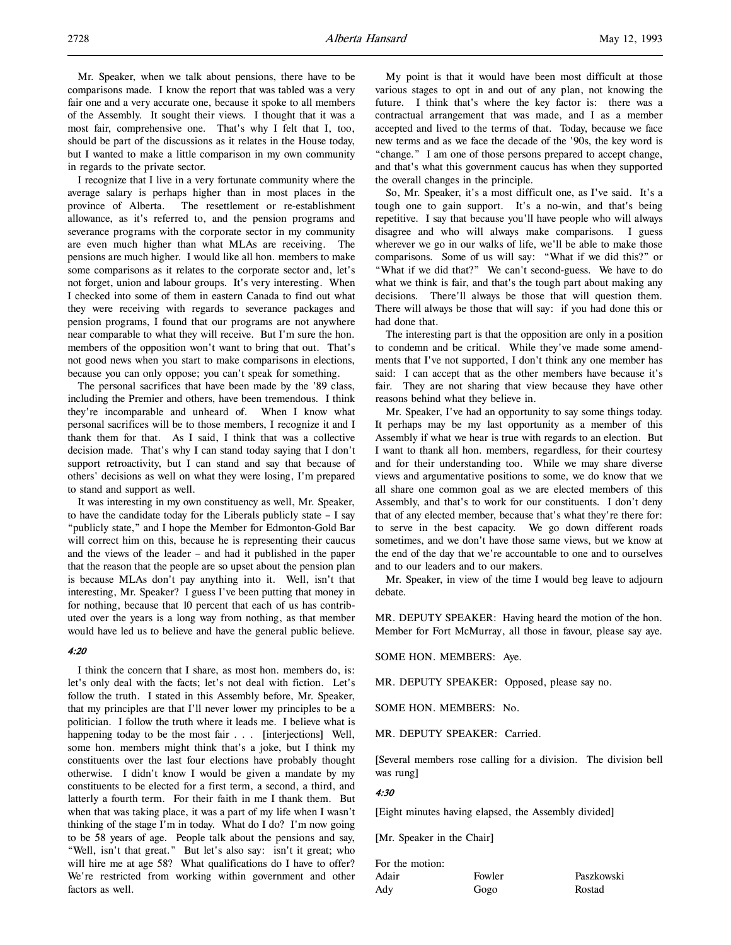Mr. Speaker, when we talk about pensions, there have to be comparisons made. I know the report that was tabled was a very fair one and a very accurate one, because it spoke to all members of the Assembly. It sought their views. I thought that it was a most fair, comprehensive one. That's why I felt that I, too, should be part of the discussions as it relates in the House today, but I wanted to make a little comparison in my own community in regards to the private sector.

I recognize that I live in a very fortunate community where the average salary is perhaps higher than in most places in the province of Alberta. The resettlement or re-establishment allowance, as it's referred to, and the pension programs and severance programs with the corporate sector in my community are even much higher than what MLAs are receiving. The pensions are much higher. I would like all hon. members to make some comparisons as it relates to the corporate sector and, let's not forget, union and labour groups. It's very interesting. When I checked into some of them in eastern Canada to find out what they were receiving with regards to severance packages and pension programs, I found that our programs are not anywhere near comparable to what they will receive. But I'm sure the hon. members of the opposition won't want to bring that out. That's not good news when you start to make comparisons in elections, because you can only oppose; you can't speak for something.

The personal sacrifices that have been made by the '89 class, including the Premier and others, have been tremendous. I think they're incomparable and unheard of. When I know what personal sacrifices will be to those members, I recognize it and I thank them for that. As I said, I think that was a collective decision made. That's why I can stand today saying that I don't support retroactivity, but I can stand and say that because of others' decisions as well on what they were losing, I'm prepared to stand and support as well.

It was interesting in my own constituency as well, Mr. Speaker, to have the candidate today for the Liberals publicly state – I say "publicly state," and I hope the Member for Edmonton-Gold Bar will correct him on this, because he is representing their caucus and the views of the leader – and had it published in the paper that the reason that the people are so upset about the pension plan is because MLAs don't pay anything into it. Well, isn't that interesting, Mr. Speaker? I guess I've been putting that money in for nothing, because that 10 percent that each of us has contributed over the years is a long way from nothing, as that member would have led us to believe and have the general public believe.

# 4:20

I think the concern that I share, as most hon. members do, is: let's only deal with the facts; let's not deal with fiction. Let's follow the truth. I stated in this Assembly before, Mr. Speaker, that my principles are that I'll never lower my principles to be a politician. I follow the truth where it leads me. I believe what is happening today to be the most fair . . . [interjections] Well, some hon. members might think that's a joke, but I think my constituents over the last four elections have probably thought otherwise. I didn't know I would be given a mandate by my constituents to be elected for a first term, a second, a third, and latterly a fourth term. For their faith in me I thank them. But when that was taking place, it was a part of my life when I wasn't thinking of the stage I'm in today. What do I do? I'm now going to be 58 years of age. People talk about the pensions and say, "Well, isn't that great." But let's also say: isn't it great; who will hire me at age 58? What qualifications do I have to offer? We're restricted from working within government and other factors as well.

My point is that it would have been most difficult at those various stages to opt in and out of any plan, not knowing the future. I think that's where the key factor is: there was a contractual arrangement that was made, and I as a member accepted and lived to the terms of that. Today, because we face new terms and as we face the decade of the '90s, the key word is "change." I am one of those persons prepared to accept change, and that's what this government caucus has when they supported the overall changes in the principle.

So, Mr. Speaker, it's a most difficult one, as I've said. It's a tough one to gain support. It's a no-win, and that's being repetitive. I say that because you'll have people who will always disagree and who will always make comparisons. I guess wherever we go in our walks of life, we'll be able to make those comparisons. Some of us will say: "What if we did this?" or "What if we did that?" We can't second-guess. We have to do what we think is fair, and that's the tough part about making any decisions. There'll always be those that will question them. There will always be those that will say: if you had done this or had done that.

The interesting part is that the opposition are only in a position to condemn and be critical. While they've made some amendments that I've not supported, I don't think any one member has said: I can accept that as the other members have because it's fair. They are not sharing that view because they have other reasons behind what they believe in.

Mr. Speaker, I've had an opportunity to say some things today. It perhaps may be my last opportunity as a member of this Assembly if what we hear is true with regards to an election. But I want to thank all hon. members, regardless, for their courtesy and for their understanding too. While we may share diverse views and argumentative positions to some, we do know that we all share one common goal as we are elected members of this Assembly, and that's to work for our constituents. I don't deny that of any elected member, because that's what they're there for: to serve in the best capacity. We go down different roads sometimes, and we don't have those same views, but we know at the end of the day that we're accountable to one and to ourselves and to our leaders and to our makers.

Mr. Speaker, in view of the time I would beg leave to adjourn debate.

MR. DEPUTY SPEAKER: Having heard the motion of the hon. Member for Fort McMurray, all those in favour, please say aye.

### SOME HON. MEMBERS: Aye.

MR. DEPUTY SPEAKER: Opposed, please say no.

SOME HON. MEMBERS: No.

MR. DEPUTY SPEAKER: Carried.

[Several members rose calling for a division. The division bell was rung]

### 4:30

[Eight minutes having elapsed, the Assembly divided]

[Mr. Speaker in the Chair]

| For the motion: |        |            |
|-----------------|--------|------------|
| Adair           | Fowler | Paszkowski |
| Ady             | Gogo   | Rostad     |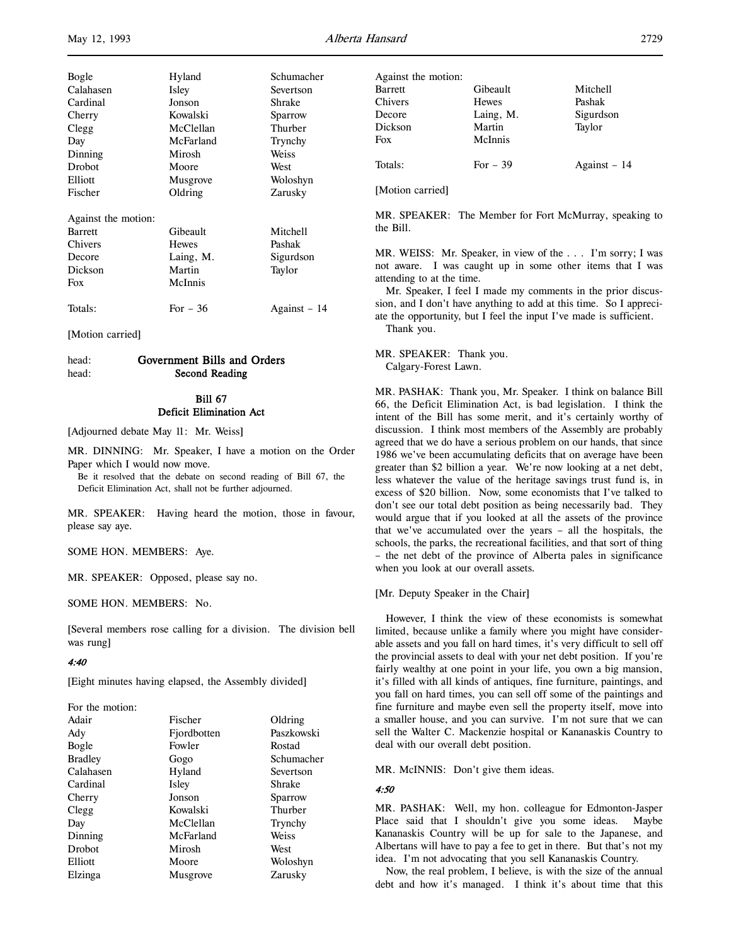l,

| Bogle<br>Calahasen<br>Cardinal<br>Cherry<br>Clegg<br>Day<br>Dinning<br>Drobot<br>Elliott | Hyland<br>Isley<br>Jonson<br>Kowalski<br>McClellan<br>McFarland<br>Mirosh<br>Moore | Schumacher<br>Severtson<br>Shrake<br>Sparrow<br>Thurber<br>Trynchy<br>Weiss<br>West |
|------------------------------------------------------------------------------------------|------------------------------------------------------------------------------------|-------------------------------------------------------------------------------------|
| Fischer                                                                                  | Musgrove<br>Oldring                                                                | Woloshyn<br>Zarusky                                                                 |
| Against the motion:<br><b>Barrett</b><br>Chivers<br>Decore<br>Dickson<br>Fox             | Gibeault<br><b>Hewes</b><br>Laing, M.<br>Martin<br>McInnis                         | Mitchell<br>Pashak<br>Sigurdson<br>Taylor                                           |
| Totals:                                                                                  | For $-36$                                                                          | Against – 14                                                                        |

[Motion carried]

# head: Government Bills and Orders head: Second Reading

# Bill 67 Deficit Elimination Act

[Adjourned debate May 11: Mr. Weiss]

MR. DINNING: Mr. Speaker, I have a motion on the Order Paper which I would now move.

Be it resolved that the debate on second reading of Bill 67, the Deficit Elimination Act, shall not be further adjourned.

MR. SPEAKER: Having heard the motion, those in favour, please say aye.

SOME HON. MEMBERS: Aye.

MR. SPEAKER: Opposed, please say no.

SOME HON. MEMBERS: No.

[Several members rose calling for a division. The division bell was rung]

## 4:40

[Eight minutes having elapsed, the Assembly divided]

| For the motion: |             |            |
|-----------------|-------------|------------|
| Adair           | Fischer     | Oldring    |
| Ady             | Fjordbotten | Paszkowski |
| Bogle           | Fowler      | Rostad     |
| <b>Bradley</b>  | Gogo        | Schumacher |
| Calahasen       | Hyland      | Severtson  |
| Cardinal        | Isley       | Shrake     |
| Cherry          | Jonson      | Sparrow    |
| Clegg           | Kowalski    | Thurber    |
| Day             | McClellan   | Trynchy    |
| Dinning         | McFarland   | Weiss      |
| Drobot          | Mirosh      | West       |
| Elliott         | Moore       | Woloshyn   |
| Elzinga         | Musgrove    | Zarusky    |
|                 |             |            |

| Against the motion: |           |               |
|---------------------|-----------|---------------|
| <b>Barrett</b>      | Gibeault  | Mitchell      |
| Chivers             | Hewes     | Pashak        |
| Decore              | Laing, M. | Sigurdson     |
| Dickson             | Martin    | Taylor        |
| Fox                 | McInnis   |               |
| Totals:             | For $-39$ | Against $-14$ |

[Motion carried]

MR. SPEAKER: The Member for Fort McMurray, speaking to the Bill.

MR. WEISS: Mr. Speaker, in view of the . . . I'm sorry; I was not aware. I was caught up in some other items that I was attending to at the time.

Mr. Speaker, I feel I made my comments in the prior discussion, and I don't have anything to add at this time. So I appreciate the opportunity, but I feel the input I've made is sufficient. Thank you.

MR. SPEAKER: Thank you. Calgary-Forest Lawn.

MR. PASHAK: Thank you, Mr. Speaker. I think on balance Bill 66, the Deficit Elimination Act, is bad legislation. I think the intent of the Bill has some merit, and it's certainly worthy of discussion. I think most members of the Assembly are probably agreed that we do have a serious problem on our hands, that since 1986 we've been accumulating deficits that on average have been greater than \$2 billion a year. We're now looking at a net debt, less whatever the value of the heritage savings trust fund is, in excess of \$20 billion. Now, some economists that I've talked to don't see our total debt position as being necessarily bad. They would argue that if you looked at all the assets of the province that we've accumulated over the years – all the hospitals, the schools, the parks, the recreational facilities, and that sort of thing – the net debt of the province of Alberta pales in significance when you look at our overall assets.

[Mr. Deputy Speaker in the Chair]

However, I think the view of these economists is somewhat limited, because unlike a family where you might have considerable assets and you fall on hard times, it's very difficult to sell off the provincial assets to deal with your net debt position. If you're fairly wealthy at one point in your life, you own a big mansion, it's filled with all kinds of antiques, fine furniture, paintings, and you fall on hard times, you can sell off some of the paintings and fine furniture and maybe even sell the property itself, move into a smaller house, and you can survive. I'm not sure that we can sell the Walter C. Mackenzie hospital or Kananaskis Country to deal with our overall debt position.

MR. McINNIS: Don't give them ideas.

### 4:50

MR. PASHAK: Well, my hon. colleague for Edmonton-Jasper Place said that I shouldn't give you some ideas. Maybe Kananaskis Country will be up for sale to the Japanese, and Albertans will have to pay a fee to get in there. But that's not my idea. I'm not advocating that you sell Kananaskis Country.

Now, the real problem, I believe, is with the size of the annual debt and how it's managed. I think it's about time that this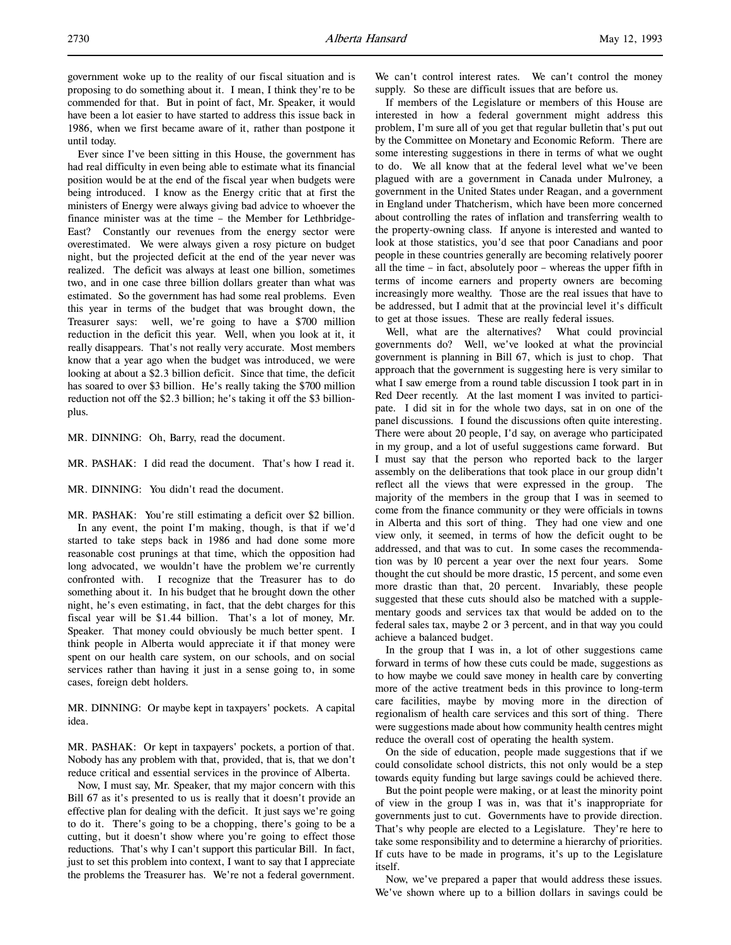Ever since I've been sitting in this House, the government has had real difficulty in even being able to estimate what its financial position would be at the end of the fiscal year when budgets were being introduced. I know as the Energy critic that at first the ministers of Energy were always giving bad advice to whoever the finance minister was at the time – the Member for Lethbridge-East? Constantly our revenues from the energy sector were overestimated. We were always given a rosy picture on budget night, but the projected deficit at the end of the year never was realized. The deficit was always at least one billion, sometimes two, and in one case three billion dollars greater than what was estimated. So the government has had some real problems. Even this year in terms of the budget that was brought down, the Treasurer says: well, we're going to have a \$700 million reduction in the deficit this year. Well, when you look at it, it really disappears. That's not really very accurate. Most members know that a year ago when the budget was introduced, we were looking at about a \$2.3 billion deficit. Since that time, the deficit has soared to over \$3 billion. He's really taking the \$700 million reduction not off the \$2.3 billion; he's taking it off the \$3 billionplus.

MR. DINNING: Oh, Barry, read the document.

MR. PASHAK: I did read the document. That's how I read it.

MR. DINNING: You didn't read the document.

MR. PASHAK: You're still estimating a deficit over \$2 billion. In any event, the point I'm making, though, is that if we'd started to take steps back in 1986 and had done some more reasonable cost prunings at that time, which the opposition had long advocated, we wouldn't have the problem we're currently confronted with. I recognize that the Treasurer has to do something about it. In his budget that he brought down the other night, he's even estimating, in fact, that the debt charges for this fiscal year will be \$1.44 billion. That's a lot of money, Mr. Speaker. That money could obviously be much better spent. I think people in Alberta would appreciate it if that money were spent on our health care system, on our schools, and on social services rather than having it just in a sense going to, in some cases, foreign debt holders.

MR. DINNING: Or maybe kept in taxpayers' pockets. A capital idea.

MR. PASHAK: Or kept in taxpayers' pockets, a portion of that. Nobody has any problem with that, provided, that is, that we don't reduce critical and essential services in the province of Alberta.

Now, I must say, Mr. Speaker, that my major concern with this Bill 67 as it's presented to us is really that it doesn't provide an effective plan for dealing with the deficit. It just says we're going to do it. There's going to be a chopping, there's going to be a cutting, but it doesn't show where you're going to effect those reductions. That's why I can't support this particular Bill. In fact, just to set this problem into context, I want to say that I appreciate the problems the Treasurer has. We're not a federal government.

We can't control interest rates. We can't control the money supply. So these are difficult issues that are before us.

If members of the Legislature or members of this House are interested in how a federal government might address this problem, I'm sure all of you get that regular bulletin that's put out by the Committee on Monetary and Economic Reform. There are some interesting suggestions in there in terms of what we ought to do. We all know that at the federal level what we've been plagued with are a government in Canada under Mulroney, a government in the United States under Reagan, and a government in England under Thatcherism, which have been more concerned about controlling the rates of inflation and transferring wealth to the property-owning class. If anyone is interested and wanted to look at those statistics, you'd see that poor Canadians and poor people in these countries generally are becoming relatively poorer all the time – in fact, absolutely poor – whereas the upper fifth in terms of income earners and property owners are becoming increasingly more wealthy. Those are the real issues that have to be addressed, but I admit that at the provincial level it's difficult to get at those issues. These are really federal issues.

Well, what are the alternatives? What could provincial governments do? Well, we've looked at what the provincial government is planning in Bill 67, which is just to chop. That approach that the government is suggesting here is very similar to what I saw emerge from a round table discussion I took part in in Red Deer recently. At the last moment I was invited to participate. I did sit in for the whole two days, sat in on one of the panel discussions. I found the discussions often quite interesting. There were about 20 people, I'd say, on average who participated in my group, and a lot of useful suggestions came forward. But I must say that the person who reported back to the larger assembly on the deliberations that took place in our group didn't reflect all the views that were expressed in the group. The majority of the members in the group that I was in seemed to come from the finance community or they were officials in towns in Alberta and this sort of thing. They had one view and one view only, it seemed, in terms of how the deficit ought to be addressed, and that was to cut. In some cases the recommendation was by 10 percent a year over the next four years. Some thought the cut should be more drastic, 15 percent, and some even more drastic than that, 20 percent. Invariably, these people suggested that these cuts should also be matched with a supplementary goods and services tax that would be added on to the federal sales tax, maybe 2 or 3 percent, and in that way you could achieve a balanced budget.

In the group that I was in, a lot of other suggestions came forward in terms of how these cuts could be made, suggestions as to how maybe we could save money in health care by converting more of the active treatment beds in this province to long-term care facilities, maybe by moving more in the direction of regionalism of health care services and this sort of thing. There were suggestions made about how community health centres might reduce the overall cost of operating the health system.

On the side of education, people made suggestions that if we could consolidate school districts, this not only would be a step towards equity funding but large savings could be achieved there.

But the point people were making, or at least the minority point of view in the group I was in, was that it's inappropriate for governments just to cut. Governments have to provide direction. That's why people are elected to a Legislature. They're here to take some responsibility and to determine a hierarchy of priorities. If cuts have to be made in programs, it's up to the Legislature itself.

Now, we've prepared a paper that would address these issues. We've shown where up to a billion dollars in savings could be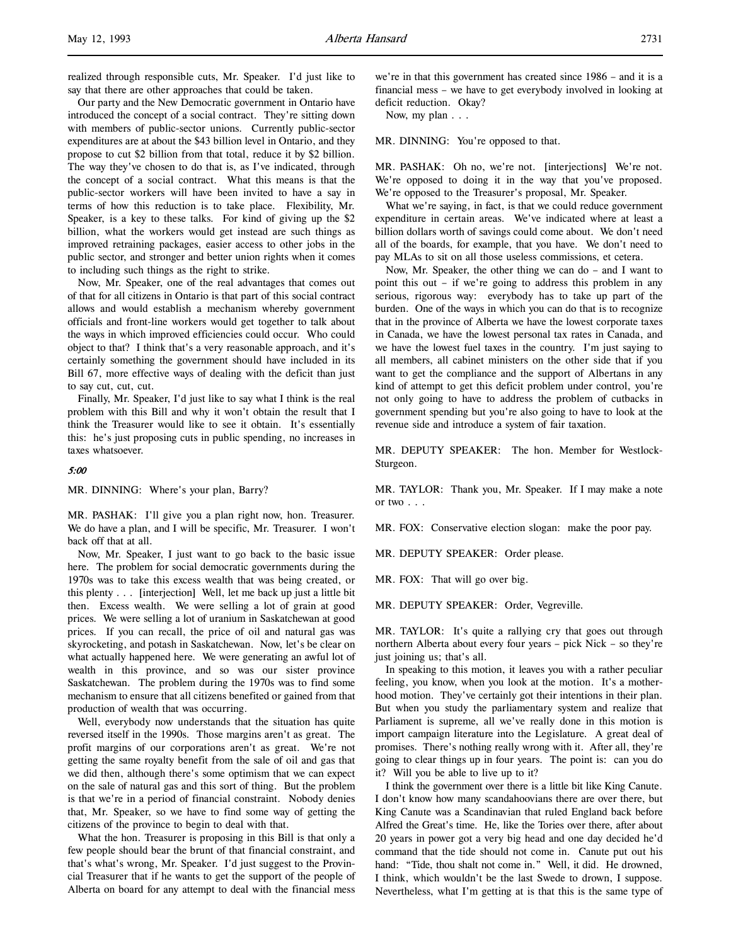l,

realized through responsible cuts, Mr. Speaker. I'd just like to say that there are other approaches that could be taken.

Our party and the New Democratic government in Ontario have introduced the concept of a social contract. They're sitting down with members of public-sector unions. Currently public-sector expenditures are at about the \$43 billion level in Ontario, and they propose to cut \$2 billion from that total, reduce it by \$2 billion. The way they've chosen to do that is, as I've indicated, through the concept of a social contract. What this means is that the public-sector workers will have been invited to have a say in terms of how this reduction is to take place. Flexibility, Mr. Speaker, is a key to these talks. For kind of giving up the \$2 billion, what the workers would get instead are such things as improved retraining packages, easier access to other jobs in the public sector, and stronger and better union rights when it comes to including such things as the right to strike.

Now, Mr. Speaker, one of the real advantages that comes out of that for all citizens in Ontario is that part of this social contract allows and would establish a mechanism whereby government officials and front-line workers would get together to talk about the ways in which improved efficiencies could occur. Who could object to that? I think that's a very reasonable approach, and it's certainly something the government should have included in its Bill 67, more effective ways of dealing with the deficit than just to say cut, cut, cut.

Finally, Mr. Speaker, I'd just like to say what I think is the real problem with this Bill and why it won't obtain the result that I think the Treasurer would like to see it obtain. It's essentially this: he's just proposing cuts in public spending, no increases in taxes whatsoever.

# 5:00

MR. DINNING: Where's your plan, Barry?

MR. PASHAK: I'll give you a plan right now, hon. Treasurer. We do have a plan, and I will be specific, Mr. Treasurer. I won't back off that at all.

Now, Mr. Speaker, I just want to go back to the basic issue here. The problem for social democratic governments during the 1970s was to take this excess wealth that was being created, or this plenty . . . [interjection] Well, let me back up just a little bit then. Excess wealth. We were selling a lot of grain at good prices. We were selling a lot of uranium in Saskatchewan at good prices. If you can recall, the price of oil and natural gas was skyrocketing, and potash in Saskatchewan. Now, let's be clear on what actually happened here. We were generating an awful lot of wealth in this province, and so was our sister province Saskatchewan. The problem during the 1970s was to find some mechanism to ensure that all citizens benefited or gained from that production of wealth that was occurring.

Well, everybody now understands that the situation has quite reversed itself in the 1990s. Those margins aren't as great. The profit margins of our corporations aren't as great. We're not getting the same royalty benefit from the sale of oil and gas that we did then, although there's some optimism that we can expect on the sale of natural gas and this sort of thing. But the problem is that we're in a period of financial constraint. Nobody denies that, Mr. Speaker, so we have to find some way of getting the citizens of the province to begin to deal with that.

What the hon. Treasurer is proposing in this Bill is that only a few people should bear the brunt of that financial constraint, and that's what's wrong, Mr. Speaker. I'd just suggest to the Provincial Treasurer that if he wants to get the support of the people of Alberta on board for any attempt to deal with the financial mess

we're in that this government has created since 1986 – and it is a financial mess – we have to get everybody involved in looking at deficit reduction. Okay?

Now, my plan . . .

MR. DINNING: You're opposed to that.

MR. PASHAK: Oh no, we're not. [interjections] We're not. We're opposed to doing it in the way that you've proposed. We're opposed to the Treasurer's proposal, Mr. Speaker.

What we're saying, in fact, is that we could reduce government expenditure in certain areas. We've indicated where at least a billion dollars worth of savings could come about. We don't need all of the boards, for example, that you have. We don't need to pay MLAs to sit on all those useless commissions, et cetera.

Now, Mr. Speaker, the other thing we can do – and I want to point this out – if we're going to address this problem in any serious, rigorous way: everybody has to take up part of the burden. One of the ways in which you can do that is to recognize that in the province of Alberta we have the lowest corporate taxes in Canada, we have the lowest personal tax rates in Canada, and we have the lowest fuel taxes in the country. I'm just saying to all members, all cabinet ministers on the other side that if you want to get the compliance and the support of Albertans in any kind of attempt to get this deficit problem under control, you're not only going to have to address the problem of cutbacks in government spending but you're also going to have to look at the revenue side and introduce a system of fair taxation.

MR. DEPUTY SPEAKER: The hon. Member for Westlock-Sturgeon.

MR. TAYLOR: Thank you, Mr. Speaker. If I may make a note or two . . .

MR. FOX: Conservative election slogan: make the poor pay.

MR. DEPUTY SPEAKER: Order please.

MR. FOX: That will go over big.

MR. DEPUTY SPEAKER: Order, Vegreville.

MR. TAYLOR: It's quite a rallying cry that goes out through northern Alberta about every four years – pick Nick – so they're just joining us; that's all.

In speaking to this motion, it leaves you with a rather peculiar feeling, you know, when you look at the motion. It's a motherhood motion. They've certainly got their intentions in their plan. But when you study the parliamentary system and realize that Parliament is supreme, all we've really done in this motion is import campaign literature into the Legislature. A great deal of promises. There's nothing really wrong with it. After all, they're going to clear things up in four years. The point is: can you do it? Will you be able to live up to it?

I think the government over there is a little bit like King Canute. I don't know how many scandahoovians there are over there, but King Canute was a Scandinavian that ruled England back before Alfred the Great's time. He, like the Tories over there, after about 20 years in power got a very big head and one day decided he'd command that the tide should not come in. Canute put out his hand: "Tide, thou shalt not come in." Well, it did. He drowned, I think, which wouldn't be the last Swede to drown, I suppose. Nevertheless, what I'm getting at is that this is the same type of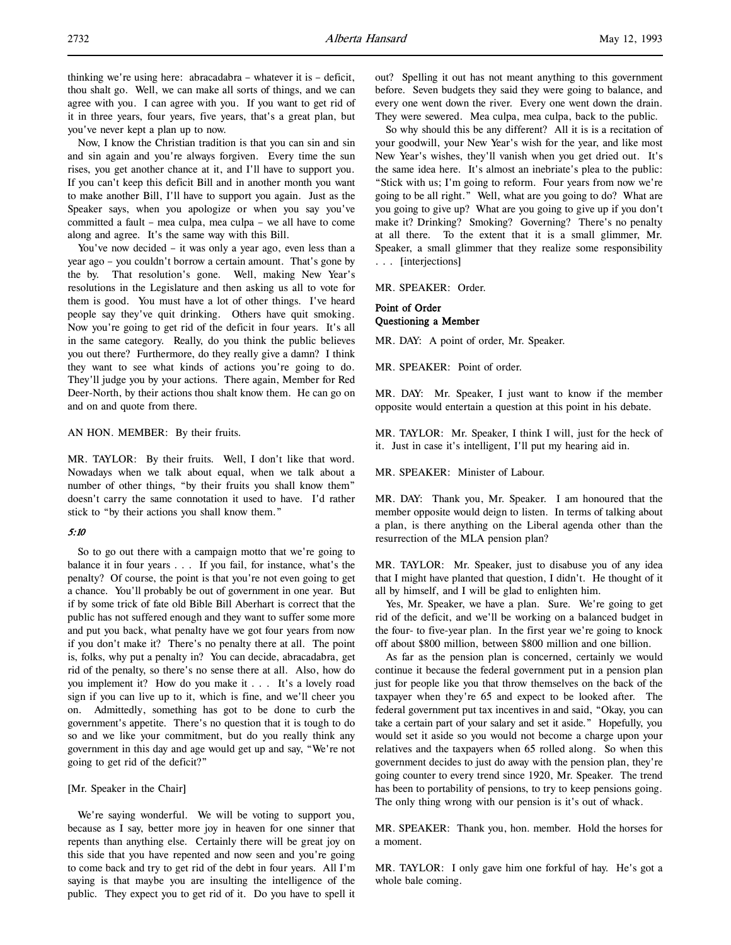Now, I know the Christian tradition is that you can sin and sin and sin again and you're always forgiven. Every time the sun rises, you get another chance at it, and I'll have to support you. If you can't keep this deficit Bill and in another month you want to make another Bill, I'll have to support you again. Just as the Speaker says, when you apologize or when you say you've committed a fault – mea culpa, mea culpa – we all have to come along and agree. It's the same way with this Bill.

You've now decided – it was only a year ago, even less than a year ago – you couldn't borrow a certain amount. That's gone by the by. That resolution's gone. Well, making New Year's resolutions in the Legislature and then asking us all to vote for them is good. You must have a lot of other things. I've heard people say they've quit drinking. Others have quit smoking. Now you're going to get rid of the deficit in four years. It's all in the same category. Really, do you think the public believes you out there? Furthermore, do they really give a damn? I think they want to see what kinds of actions you're going to do. They'll judge you by your actions. There again, Member for Red Deer-North, by their actions thou shalt know them. He can go on and on and quote from there.

### AN HON. MEMBER: By their fruits.

MR. TAYLOR: By their fruits. Well, I don't like that word. Nowadays when we talk about equal, when we talk about a number of other things, "by their fruits you shall know them" doesn't carry the same connotation it used to have. I'd rather stick to "by their actions you shall know them."

## 5:10

So to go out there with a campaign motto that we're going to balance it in four years . . . If you fail, for instance, what's the penalty? Of course, the point is that you're not even going to get a chance. You'll probably be out of government in one year. But if by some trick of fate old Bible Bill Aberhart is correct that the public has not suffered enough and they want to suffer some more and put you back, what penalty have we got four years from now if you don't make it? There's no penalty there at all. The point is, folks, why put a penalty in? You can decide, abracadabra, get rid of the penalty, so there's no sense there at all. Also, how do you implement it? How do you make it . . . It's a lovely road sign if you can live up to it, which is fine, and we'll cheer you on. Admittedly, something has got to be done to curb the government's appetite. There's no question that it is tough to do so and we like your commitment, but do you really think any government in this day and age would get up and say, "We're not going to get rid of the deficit?"

## [Mr. Speaker in the Chair]

We're saying wonderful. We will be voting to support you, because as I say, better more joy in heaven for one sinner that repents than anything else. Certainly there will be great joy on this side that you have repented and now seen and you're going to come back and try to get rid of the debt in four years. All I'm saying is that maybe you are insulting the intelligence of the public. They expect you to get rid of it. Do you have to spell it

out? Spelling it out has not meant anything to this government before. Seven budgets they said they were going to balance, and every one went down the river. Every one went down the drain. They were sewered. Mea culpa, mea culpa, back to the public.

So why should this be any different? All it is is a recitation of your goodwill, your New Year's wish for the year, and like most New Year's wishes, they'll vanish when you get dried out. It's the same idea here. It's almost an inebriate's plea to the public: "Stick with us; I'm going to reform. Four years from now we're going to be all right." Well, what are you going to do? What are you going to give up? What are you going to give up if you don't make it? Drinking? Smoking? Governing? There's no penalty at all there. To the extent that it is a small glimmer, Mr. Speaker, a small glimmer that they realize some responsibility . . . [interjections]

MR. SPEAKER: Order.

## Point of Order Questioning a Member

MR. DAY: A point of order, Mr. Speaker.

MR. SPEAKER: Point of order.

MR. DAY: Mr. Speaker, I just want to know if the member opposite would entertain a question at this point in his debate.

MR. TAYLOR: Mr. Speaker, I think I will, just for the heck of it. Just in case it's intelligent, I'll put my hearing aid in.

MR. SPEAKER: Minister of Labour.

MR. DAY: Thank you, Mr. Speaker. I am honoured that the member opposite would deign to listen. In terms of talking about a plan, is there anything on the Liberal agenda other than the resurrection of the MLA pension plan?

MR. TAYLOR: Mr. Speaker, just to disabuse you of any idea that I might have planted that question, I didn't. He thought of it all by himself, and I will be glad to enlighten him.

Yes, Mr. Speaker, we have a plan. Sure. We're going to get rid of the deficit, and we'll be working on a balanced budget in the four- to five-year plan. In the first year we're going to knock off about \$800 million, between \$800 million and one billion.

As far as the pension plan is concerned, certainly we would continue it because the federal government put in a pension plan just for people like you that throw themselves on the back of the taxpayer when they're 65 and expect to be looked after. The federal government put tax incentives in and said, "Okay, you can take a certain part of your salary and set it aside." Hopefully, you would set it aside so you would not become a charge upon your relatives and the taxpayers when 65 rolled along. So when this government decides to just do away with the pension plan, they're going counter to every trend since 1920, Mr. Speaker. The trend has been to portability of pensions, to try to keep pensions going. The only thing wrong with our pension is it's out of whack.

MR. SPEAKER: Thank you, hon. member. Hold the horses for a moment.

MR. TAYLOR: I only gave him one forkful of hay. He's got a whole bale coming.